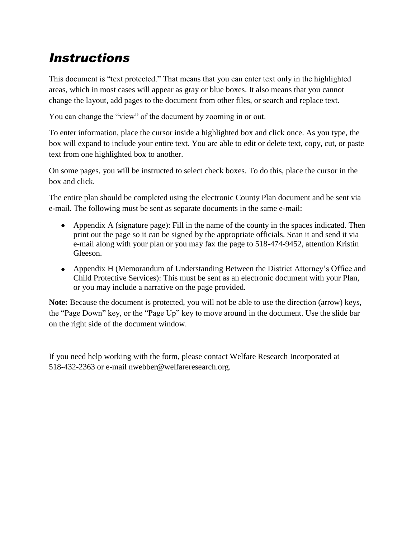# *Instructions*

This document is "text protected." That means that you can enter text only in the highlighted areas, which in most cases will appear as gray or blue boxes. It also means that you cannot change the layout, add pages to the document from other files, or search and replace text.

You can change the "view" of the document by zooming in or out.

To enter information, place the cursor inside a highlighted box and click once. As you type, the box will expand to include your entire text. You are able to edit or delete text, copy, cut, or paste text from one highlighted box to another.

On some pages, you will be instructed to select check boxes. To do this, place the cursor in the box and click.

The entire plan should be completed using the electronic County Plan document and be sent via e-mail. The following must be sent as separate documents in the same e-mail:

- Appendix A (signature page): Fill in the name of the county in the spaces indicated. Then print out the page so it can be signed by the appropriate officials. Scan it and send it via e-mail along with your plan or you may fax the page to 518-474-9452, attention Kristin Gleeson.
- Appendix H (Memorandum of Understanding Between the District Attorney's Office and Child Protective Services): This must be sent as an electronic document with your Plan, or you may include a narrative on the page provided.

**Note:** Because the document is protected, you will not be able to use the direction (arrow) keys, the "Page Down" key, or the "Page Up" key to move around in the document. Use the slide bar on the right side of the document window.

If you need help working with the form, please contact Welfare Research Incorporated at 518-432-2363 or e-mail nwebber@welfareresearch.org.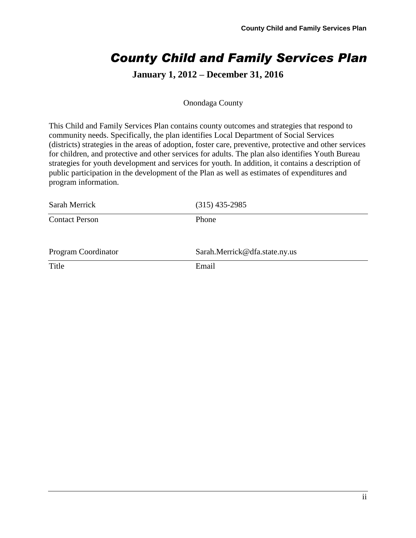# *County Child and Family Services Plan*

# **January 1, 2012 – December 31, 2016**

#### Onondaga County

This Child and Family Services Plan contains county outcomes and strategies that respond to community needs. Specifically, the plan identifies Local Department of Social Services (districts) strategies in the areas of adoption, foster care, preventive, protective and other services for children, and protective and other services for adults. The plan also identifies Youth Bureau strategies for youth development and services for youth. In addition, it contains a description of public participation in the development of the Plan as well as estimates of expenditures and program information.

| Sarah Merrick         | $(315)$ 435-2985              |
|-----------------------|-------------------------------|
| <b>Contact Person</b> | Phone                         |
| Program Coordinator   | Sarah.Merrick@dfa.state.ny.us |
| Title                 | Email                         |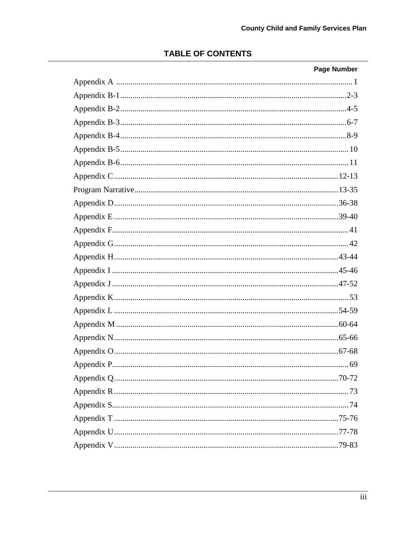# **TABLE OF CONTENTS**

| <b>Page Number</b> |
|--------------------|
|                    |
|                    |
|                    |
|                    |
|                    |
|                    |
|                    |
|                    |
|                    |
|                    |
|                    |
|                    |
|                    |
|                    |
|                    |
|                    |
|                    |
|                    |
|                    |
|                    |
|                    |
|                    |
|                    |
|                    |
|                    |
|                    |
|                    |
|                    |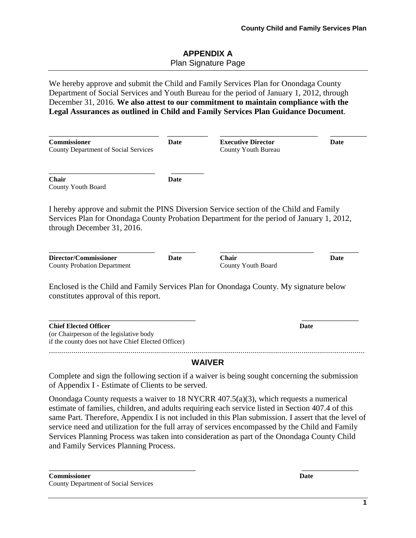## **APPENDIX A** Plan Signature Page

We hereby approve and submit the Child and Family Services Plan for Onondaga County Department of Social Services and Youth Bureau for the period of January 1, 2012, through December 31, 2016. **We also attest to our commitment to maintain compliance with the Legal Assurances as outlined in Child and Family Services Plan Guidance Document**.

| <b>Commissioner</b><br>County Department of Social Services                                                                                                                                                       | Date        | <b>Executive Director</b><br>County Youth Bureau | Date        |
|-------------------------------------------------------------------------------------------------------------------------------------------------------------------------------------------------------------------|-------------|--------------------------------------------------|-------------|
| <b>Chair</b><br>County Youth Board                                                                                                                                                                                | Date        |                                                  |             |
| I hereby approve and submit the PINS Diversion Service section of the Child and Family<br>Services Plan for Onondaga County Probation Department for the period of January 1, 2012,<br>through December 31, 2016. |             |                                                  |             |
| Director/Commissioner<br><b>County Probation Department</b>                                                                                                                                                       | <b>Date</b> | <b>Chair</b><br>County Youth Board               | <b>Date</b> |
| Enclosed is the Child and Family Services Plan for Onondaga County. My signature below<br>constitutes approval of this report.                                                                                    |             |                                                  |             |
| <b>Chief Elected Officer</b><br>(or Chairperson of the legislative body<br>if the county does not have Chief Elected Officer)                                                                                     |             |                                                  | Date        |
|                                                                                                                                                                                                                   |             | <b>WAIVER</b>                                    |             |
| Complete and sign the following section if a waiver is being sought concerning the submission<br>of Appendix I - Estimate of Clients to be served.                                                                |             |                                                  |             |
| Onondaga County requests a waiver to 18 NYCRR 407.5(a)(3), which requests a numerical                                                                                                                             |             |                                                  |             |

estimate of families, children, and adults requiring each service listed in Section 407.4 of this same Part. Therefore, Appendix I is not included in this Plan submission. I assert that the level of service need and utilization for the full array of services encompassed by the Child and Family Services Planning Process was taken into consideration as part of the Onondaga County Child and Family Services Planning Process.

\_\_\_\_\_\_\_\_\_\_\_\_\_\_\_\_\_\_\_\_\_\_\_\_\_\_\_\_\_\_\_\_\_\_\_\_ \_\_\_\_\_\_\_\_\_\_\_\_\_\_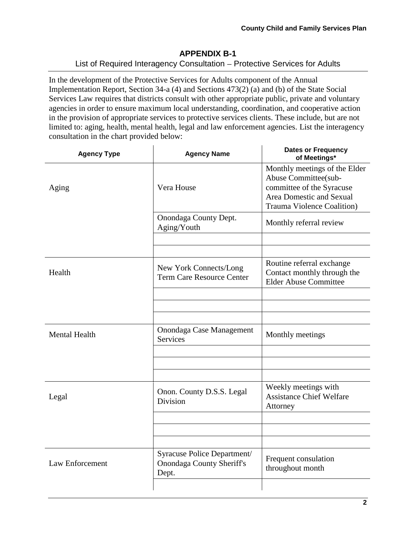## **APPENDIX B-1** List of Required Interagency Consultation - Protective Services for Adults

In the development of the Protective Services for Adults component of the Annual Implementation Report, Section 34-a (4) and Sections 473(2) (a) and (b) of the State Social Services Law requires that districts consult with other appropriate public, private and voluntary agencies in order to ensure maximum local understanding, coordination, and cooperative action in the provision of appropriate services to protective services clients. These include, but are not limited to: aging, health, mental health, legal and law enforcement agencies. List the interagency consultation in the chart provided below:

 $\ddot{\phantom{a}}$ 

| <b>Agency Type</b>   | <b>Agency Name</b>                                                       | <b>Dates or Frequency</b><br>of Meetings*                                                                                                            |
|----------------------|--------------------------------------------------------------------------|------------------------------------------------------------------------------------------------------------------------------------------------------|
| Aging                | Vera House                                                               | Monthly meetings of the Elder<br>Abuse Committee(sub-<br>committee of the Syracuse<br>Area Domestic and Sexual<br><b>Trauma Violence Coalition</b> ) |
|                      | Onondaga County Dept.<br>Aging/Youth                                     | Monthly referral review                                                                                                                              |
|                      |                                                                          |                                                                                                                                                      |
| Health               | New York Connects/Long<br><b>Term Care Resource Center</b>               | Routine referral exchange<br>Contact monthly through the<br><b>Elder Abuse Committee</b>                                                             |
|                      |                                                                          |                                                                                                                                                      |
|                      |                                                                          |                                                                                                                                                      |
| <b>Mental Health</b> | Onondaga Case Management<br><b>Services</b>                              | Monthly meetings                                                                                                                                     |
|                      |                                                                          |                                                                                                                                                      |
|                      |                                                                          |                                                                                                                                                      |
| Legal                | Onon. County D.S.S. Legal<br>Division                                    | Weekly meetings with<br><b>Assistance Chief Welfare</b><br>Attorney                                                                                  |
|                      |                                                                          |                                                                                                                                                      |
|                      |                                                                          |                                                                                                                                                      |
| Law Enforcement      | Syracuse Police Department/<br><b>Onondaga County Sheriff's</b><br>Dept. | Frequent consulation<br>throughout month                                                                                                             |
|                      |                                                                          |                                                                                                                                                      |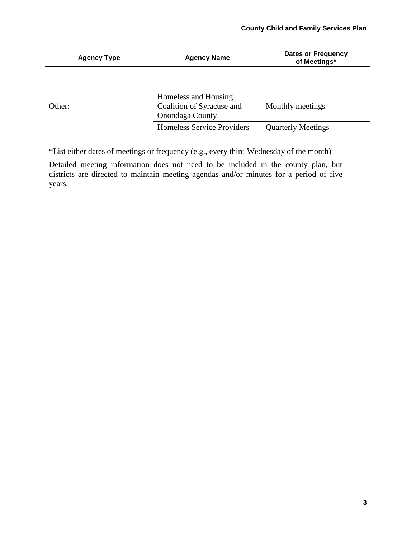| <b>Agency Type</b> | <b>Agency Name</b>                                                   | <b>Dates or Frequency</b><br>of Meetings* |
|--------------------|----------------------------------------------------------------------|-------------------------------------------|
|                    |                                                                      |                                           |
|                    |                                                                      |                                           |
| Other:             | Homeless and Housing<br>Coalition of Syracuse and<br>Onondaga County | Monthly meetings                          |
|                    | <b>Homeless Service Providers</b>                                    | <b>Quarterly Meetings</b>                 |

\*List either dates of meetings or frequency (e.g., every third Wednesday of the month)

Detailed meeting information does not need to be included in the county plan, but districts are directed to maintain meeting agendas and/or minutes for a period of five years.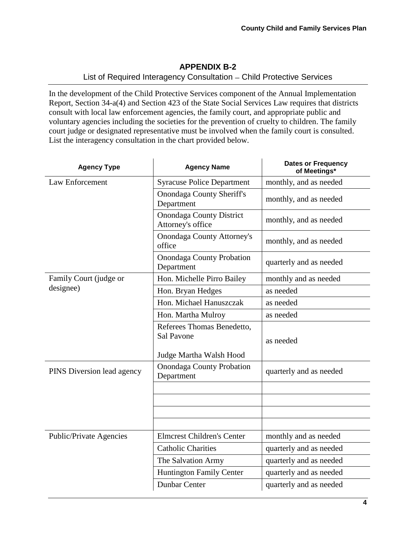## **APPENDIX B-2**

### List of Required Interagency Consultation - Child Protective Services

In the development of the Child Protective Services component of the Annual Implementation Report, Section 34-a(4) and Section 423 of the State Social Services Law requires that districts consult with local law enforcement agencies, the family court, and appropriate public and voluntary agencies including the societies for the prevention of cruelty to children. The family court judge or designated representative must be involved when the family court is consulted. List the interagency consultation in the chart provided below.

| <b>Agency Type</b>         | <b>Agency Name</b>                                   | <b>Dates or Frequency</b><br>of Meetings* |
|----------------------------|------------------------------------------------------|-------------------------------------------|
| Law Enforcement            | <b>Syracuse Police Department</b>                    | monthly, and as needed                    |
|                            | <b>Onondaga County Sheriff's</b><br>Department       | monthly, and as needed                    |
|                            | <b>Onondaga County District</b><br>Attorney's office | monthly, and as needed                    |
|                            | <b>Onondaga County Attorney's</b><br>office          | monthly, and as needed                    |
|                            | <b>Onondaga County Probation</b><br>Department       | quarterly and as needed                   |
| Family Court (judge or     | Hon. Michelle Pirro Bailey                           | monthly and as needed                     |
| designee)                  | Hon. Bryan Hedges                                    | as needed                                 |
|                            | Hon. Michael Hanuszczak                              | as needed                                 |
|                            | Hon. Martha Mulroy                                   | as needed                                 |
|                            | Referees Thomas Benedetto,<br>Sal Pavone             | as needed                                 |
|                            | Judge Martha Walsh Hood                              |                                           |
| PINS Diversion lead agency | <b>Onondaga County Probation</b><br>Department       | quarterly and as needed                   |
|                            |                                                      |                                           |
|                            |                                                      |                                           |
|                            |                                                      |                                           |
| Public/Private Agencies    | <b>Elmcrest Children's Center</b>                    | monthly and as needed                     |
|                            | <b>Catholic Charities</b>                            | quarterly and as needed                   |
|                            | The Salvation Army                                   | quarterly and as needed                   |
|                            | <b>Huntington Family Center</b>                      | quarterly and as needed                   |
|                            | Dunbar Center                                        | quarterly and as needed                   |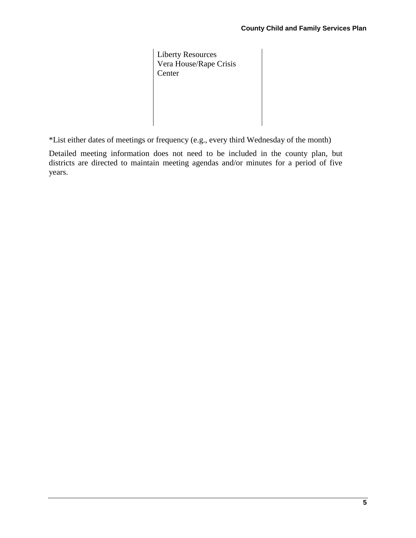Liberty Resources Vera House/Rape Crisis Center

\*List either dates of meetings or frequency (e.g., every third Wednesday of the month)

Detailed meeting information does not need to be included in the county plan, but districts are directed to maintain meeting agendas and/or minutes for a period of five years.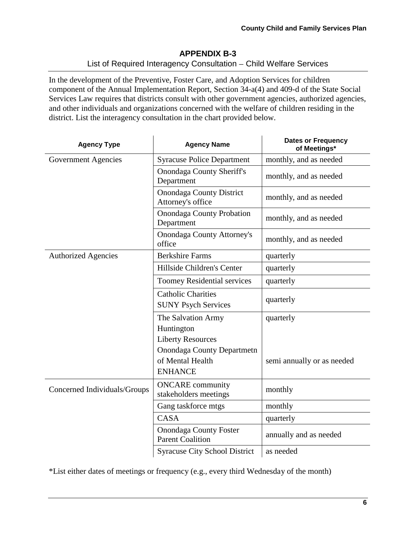## **APPENDIX B-3** List of Required Interagency Consultation - Child Welfare Services

In the development of the Preventive, Foster Care, and Adoption Services for children component of the Annual Implementation Report, Section 34-a(4) and 409-d of the State Social Services Law requires that districts consult with other government agencies, authorized agencies, and other individuals and organizations concerned with the welfare of children residing in the district. List the interagency consultation in the chart provided below.

| <b>Agency Type</b>           | <b>Agency Name</b>                                                                                                                      | <b>Dates or Frequency</b><br>of Meetings* |
|------------------------------|-----------------------------------------------------------------------------------------------------------------------------------------|-------------------------------------------|
| Government Agencies          | <b>Syracuse Police Department</b>                                                                                                       | monthly, and as needed                    |
|                              | <b>Onondaga County Sheriff's</b><br>Department                                                                                          | monthly, and as needed                    |
|                              | <b>Onondaga County District</b><br>Attorney's office                                                                                    | monthly, and as needed                    |
|                              | <b>Onondaga County Probation</b><br>Department                                                                                          | monthly, and as needed                    |
|                              | <b>Onondaga County Attorney's</b><br>office                                                                                             | monthly, and as needed                    |
| <b>Authorized Agencies</b>   | <b>Berkshire Farms</b>                                                                                                                  | quarterly                                 |
|                              | Hillside Children's Center                                                                                                              | quarterly                                 |
|                              | <b>Toomey Residential services</b>                                                                                                      | quarterly                                 |
|                              | <b>Catholic Charities</b><br><b>SUNY Psych Services</b>                                                                                 | quarterly                                 |
|                              | The Salvation Army<br>Huntington<br><b>Liberty Resources</b><br><b>Onondaga County Departmetn</b><br>of Mental Health<br><b>ENHANCE</b> | quarterly<br>semi annually or as needed   |
| Concerned Individuals/Groups | <b>ONCARE</b> community<br>stakeholders meetings                                                                                        | monthly                                   |
|                              | Gang taskforce mtgs                                                                                                                     | monthly                                   |
|                              | <b>CASA</b>                                                                                                                             | quarterly                                 |
|                              | <b>Onondaga County Foster</b><br><b>Parent Coalition</b>                                                                                | annually and as needed                    |
|                              | <b>Syracuse City School District</b>                                                                                                    | as needed                                 |

\*List either dates of meetings or frequency (e.g., every third Wednesday of the month)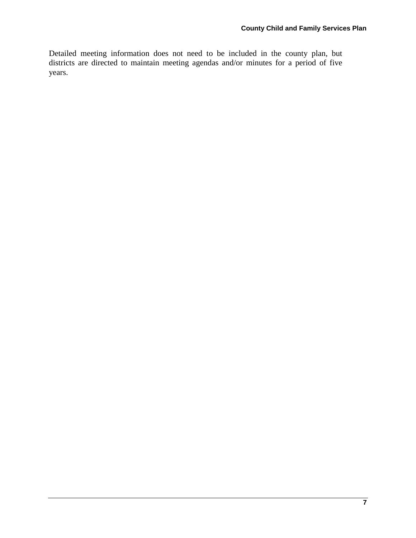Detailed meeting information does not need to be included in the county plan, but districts are directed to maintain meeting agendas and/or minutes for a period of five years.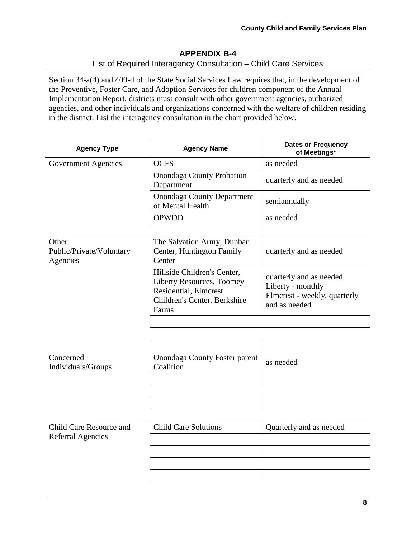# **APPENDIX B-4**

## List of Required Interagency Consultation - Child Care Services

Section 34-a(4) and 409-d of the State Social Services Law requires that, in the development of the Preventive, Foster Care, and Adoption Services for children component of the Annual Implementation Report, districts must consult with other government agencies, authorized agencies, and other individuals and organizations concerned with the welfare of children residing in the district. List the interagency consultation in the chart provided below.

| <b>Agency Type</b>                            | <b>Agency Name</b>                                                                                                         | <b>Dates or Frequency</b><br>of Meetings*                                                      |
|-----------------------------------------------|----------------------------------------------------------------------------------------------------------------------------|------------------------------------------------------------------------------------------------|
| Government Agencies                           | <b>OCFS</b>                                                                                                                | as needed                                                                                      |
|                                               | <b>Onondaga County Probation</b><br>Department                                                                             | quarterly and as needed                                                                        |
|                                               | <b>Onondaga County Department</b><br>of Mental Health                                                                      | semiannually                                                                                   |
|                                               | <b>OPWDD</b>                                                                                                               | as needed                                                                                      |
|                                               |                                                                                                                            |                                                                                                |
| Other<br>Public/Private/Voluntary<br>Agencies | The Salvation Army, Dunbar<br>Center, Huntington Family<br>Center                                                          | quarterly and as needed                                                                        |
|                                               | Hillside Children's Center,<br>Liberty Resources, Toomey<br>Residential, Elmcrest<br>Children's Center, Berkshire<br>Farms | quarterly and as needed.<br>Liberty - monthly<br>Elmcrest - weekly, quarterly<br>and as needed |
|                                               |                                                                                                                            |                                                                                                |
|                                               |                                                                                                                            |                                                                                                |
|                                               |                                                                                                                            |                                                                                                |
| Concerned<br>Individuals/Groups               | <b>Onondaga County Foster parent</b><br>Coalition                                                                          | as needed                                                                                      |
|                                               |                                                                                                                            |                                                                                                |
|                                               |                                                                                                                            |                                                                                                |
|                                               |                                                                                                                            |                                                                                                |
|                                               |                                                                                                                            |                                                                                                |
| Child Care Resource and                       | <b>Child Care Solutions</b>                                                                                                | Quarterly and as needed                                                                        |
| <b>Referral Agencies</b>                      |                                                                                                                            |                                                                                                |
|                                               |                                                                                                                            |                                                                                                |
|                                               |                                                                                                                            |                                                                                                |
|                                               |                                                                                                                            |                                                                                                |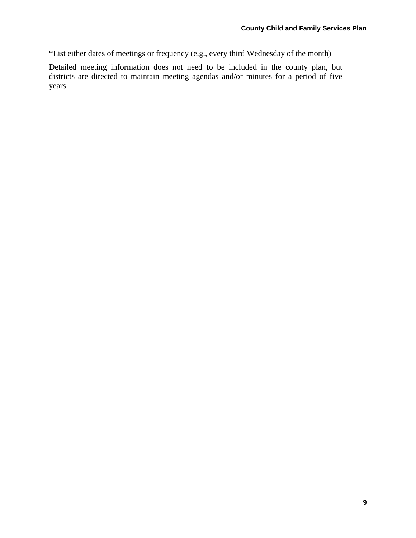\*List either dates of meetings or frequency (e.g., every third Wednesday of the month)

Detailed meeting information does not need to be included in the county plan, but districts are directed to maintain meeting agendas and/or minutes for a period of five years.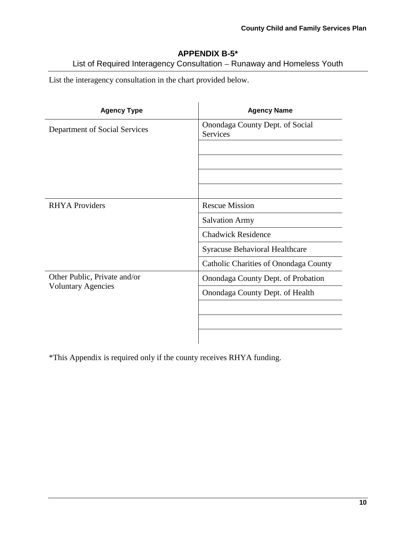# **APPENDIX B-5\***

List of Required Interagency Consultation - Runaway and Homeless Youth

List the interagency consultation in the chart provided below.

| <b>Agency Type</b>            | <b>Agency Name</b>                                 |
|-------------------------------|----------------------------------------------------|
| Department of Social Services | Onondaga County Dept. of Social<br><b>Services</b> |
|                               |                                                    |
|                               |                                                    |
|                               |                                                    |
|                               |                                                    |
| <b>RHYA</b> Providers         | <b>Rescue Mission</b>                              |
|                               | <b>Salvation Army</b>                              |
|                               | <b>Chadwick Residence</b>                          |
|                               | <b>Syracuse Behavioral Healthcare</b>              |
|                               | Catholic Charities of Onondaga County              |
| Other Public, Private and/or  | Onondaga County Dept. of Probation                 |
| <b>Voluntary Agencies</b>     | Onondaga County Dept. of Health                    |
|                               |                                                    |
|                               |                                                    |
|                               |                                                    |

\*This Appendix is required only if the county receives RHYA funding.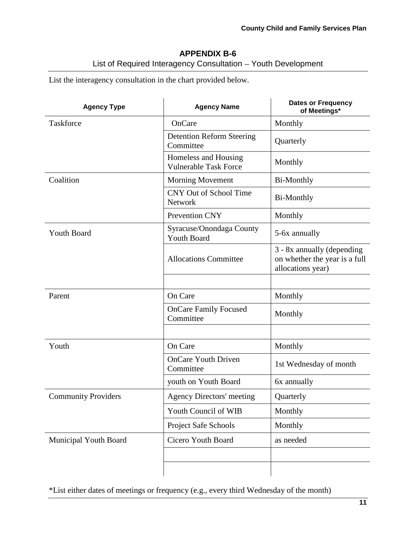# **APPENDIX B-6**

List of Required Interagency Consultation - Youth Development

List the interagency consultation in the chart provided below.

| <b>Agency Type</b>         | <b>Agency Name</b>                                   | <b>Dates or Frequency</b><br>of Meetings*                                        |
|----------------------------|------------------------------------------------------|----------------------------------------------------------------------------------|
| Taskforce                  | OnCare                                               | Monthly                                                                          |
|                            | <b>Detention Reform Steering</b><br>Committee        | Quarterly                                                                        |
|                            | Homeless and Housing<br><b>Vulnerable Task Force</b> | Monthly                                                                          |
| Coalition                  | <b>Morning Movement</b>                              | Bi-Monthly                                                                       |
|                            | <b>CNY Out of School Time</b><br><b>Network</b>      | <b>Bi-Monthly</b>                                                                |
|                            | Prevention CNY                                       | Monthly                                                                          |
| <b>Youth Board</b>         | Syracuse/Onondaga County<br><b>Youth Board</b>       | 5-6x annually                                                                    |
|                            | <b>Allocations Committee</b>                         | 3 - 8x annually (depending<br>on whether the year is a full<br>allocations year) |
|                            |                                                      |                                                                                  |
| Parent                     | On Care                                              | Monthly                                                                          |
|                            | <b>OnCare Family Focused</b><br>Committee            | Monthly                                                                          |
|                            |                                                      |                                                                                  |
| Youth                      | On Care                                              | Monthly                                                                          |
|                            | <b>OnCare Youth Driven</b><br>Committee              | 1st Wednesday of month                                                           |
|                            | youth on Youth Board                                 | 6x annually                                                                      |
| <b>Community Providers</b> | <b>Agency Directors' meeting</b>                     | Quarterly                                                                        |
|                            | Youth Council of WIB                                 | Monthly                                                                          |
|                            | Project Safe Schools                                 | Monthly                                                                          |
| Municipal Youth Board      | Cicero Youth Board                                   | as needed                                                                        |
|                            |                                                      |                                                                                  |
|                            |                                                      |                                                                                  |

\*List either dates of meetings or frequency (e.g., every third Wednesday of the month)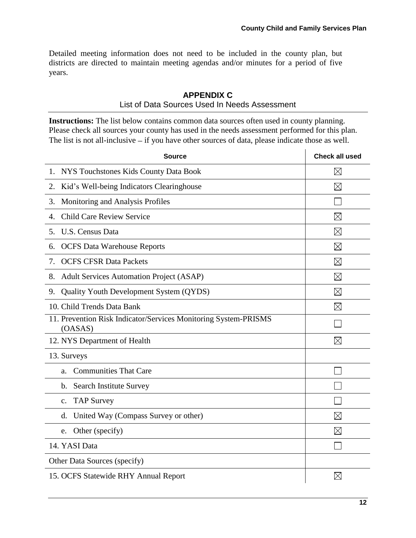Detailed meeting information does not need to be included in the county plan, but districts are directed to maintain meeting agendas and/or minutes for a period of five years.

## **APPENDIX C**

#### List of Data Sources Used In Needs Assessment

**Instructions:** The list below contains common data sources often used in county planning. Please check all sources your county has used in the needs assessment performed for this plan. The list is not all-inclusive  $-$  if you have other sources of data, please indicate those as well.

| <b>Source</b>                                                              | <b>Check all used</b> |
|----------------------------------------------------------------------------|-----------------------|
| NYS Touchstones Kids County Data Book<br>1.                                | $\boxtimes$           |
| Kid's Well-being Indicators Clearinghouse<br>2.                            | $\boxtimes$           |
| Monitoring and Analysis Profiles<br>3.                                     |                       |
| <b>Child Care Review Service</b><br>4.                                     | $\boxtimes$           |
| U.S. Census Data<br>5.                                                     | $\boxtimes$           |
| <b>OCFS</b> Data Warehouse Reports<br>6.                                   | $\boxtimes$           |
| <b>OCFS CFSR Data Packets</b><br>7.                                        | $\boxtimes$           |
| <b>Adult Services Automation Project (ASAP)</b><br>8.                      | $\boxtimes$           |
| Quality Youth Development System (QYDS)<br>9.                              | $\boxtimes$           |
| 10. Child Trends Data Bank                                                 | $\boxtimes$           |
| 11. Prevention Risk Indicator/Services Monitoring System-PRISMS<br>(OASAS) |                       |
| 12. NYS Department of Health                                               | $\boxtimes$           |
| 13. Surveys                                                                |                       |
| <b>Communities That Care</b><br>a.                                         |                       |
| <b>Search Institute Survey</b><br>b.                                       |                       |
| <b>TAP Survey</b><br>$\mathbf{c}$ .                                        |                       |
| United Way (Compass Survey or other)<br>d.                                 | $\boxtimes$           |
| Other (specify)<br>e.                                                      | $\boxtimes$           |
| 14. YASI Data                                                              |                       |
| Other Data Sources (specify)                                               |                       |
| 15. OCFS Statewide RHY Annual Report                                       | $\boxtimes$           |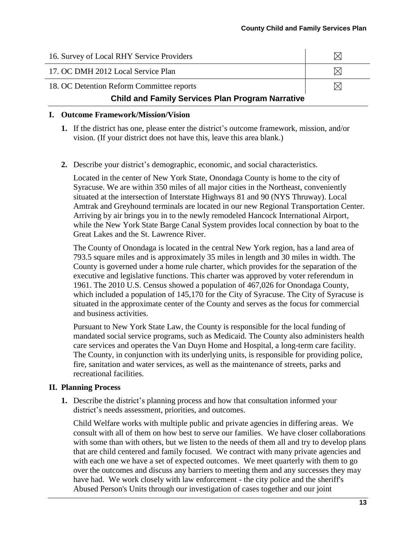| 16. Survey of Local RHY Service Providers               |  |  |
|---------------------------------------------------------|--|--|
| 17. OC DMH 2012 Local Service Plan                      |  |  |
| 18. OC Detention Reform Committee reports               |  |  |
| <b>Child and Family Services Plan Program Narrative</b> |  |  |

#### **I. Outcome Framework/Mission/Vision**

- **1.** If the district has one, please enter the district's outcome framework, mission, and/or vision. (If your district does not have this, leave this area blank.)
- **2.** Describe your district's demographic, economic, and social characteristics.

Located in the center of New York State, Onondaga County is home to the city of Syracuse. We are within 350 miles of all major cities in the Northeast, conveniently situated at the intersection of Interstate Highways 81 and 90 (NYS Thruway). Local Amtrak and Greyhound terminals are located in our new Regional Transportation Center. Arriving by air brings you in to the newly remodeled Hancock International Airport, while the New York State Barge Canal System provides local connection by boat to the Great Lakes and the St. Lawrence River.

The County of Onondaga is located in the central New York region, has a land area of 793.5 square miles and is approximately 35 miles in length and 30 miles in width. The County is governed under a home rule charter, which provides for the separation of the executive and legislative functions. This charter was approved by voter referendum in 1961. The 2010 U.S. Census showed a population of 467,026 for Onondaga County, which included a population of 145,170 for the City of Syracuse. The City of Syracuse is situated in the approximate center of the County and serves as the focus for commercial and business activities.

Pursuant to New York State Law, the County is responsible for the local funding of mandated social service programs, such as Medicaid. The County also administers health care services and operates the Van Duyn Home and Hospital, a long-term care facility. The County, in conjunction with its underlying units, is responsible for providing police, fire, sanitation and water services, as well as the maintenance of streets, parks and recreational facilities.

#### **II. Planning Process**

**1.** Describe the district's planning process and how that consultation informed your district's needs assessment, priorities, and outcomes.

Child Welfare works with multiple public and private agencies in differing areas. We consult with all of them on how best to serve our families. We have closer collaborations with some than with others, but we listen to the needs of them all and try to develop plans that are child centered and family focused. We contract with many private agencies and with each one we have a set of expected outcomes. We meet quarterly with them to go over the outcomes and discuss any barriers to meeting them and any successes they may have had. We work closely with law enforcement - the city police and the sheriff's Abused Person's Units through our investigation of cases together and our joint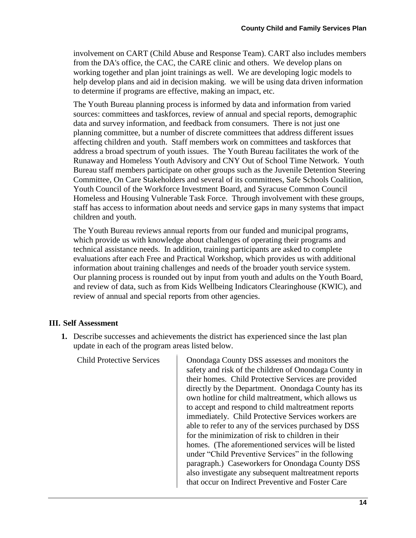involvement on CART (Child Abuse and Response Team). CART also includes members from the DA's office, the CAC, the CARE clinic and others. We develop plans on working together and plan joint trainings as well. We are developing logic models to help develop plans and aid in decision making. we will be using data driven information to determine if programs are effective, making an impact, etc.

The Youth Bureau planning process is informed by data and information from varied sources: committees and taskforces, review of annual and special reports, demographic data and survey information, and feedback from consumers. There is not just one planning committee, but a number of discrete committees that address different issues affecting children and youth. Staff members work on committees and taskforces that address a broad spectrum of youth issues. The Youth Bureau facilitates the work of the Runaway and Homeless Youth Advisory and CNY Out of School Time Network. Youth Bureau staff members participate on other groups such as the Juvenile Detention Steering Committee, On Care Stakeholders and several of its committees, Safe Schools Coalition, Youth Council of the Workforce Investment Board, and Syracuse Common Council Homeless and Housing Vulnerable Task Force. Through involvement with these groups, staff has access to information about needs and service gaps in many systems that impact children and youth.

The Youth Bureau reviews annual reports from our funded and municipal programs, which provide us with knowledge about challenges of operating their programs and technical assistance needs. In addition, training participants are asked to complete evaluations after each Free and Practical Workshop, which provides us with additional information about training challenges and needs of the broader youth service system. Our planning process is rounded out by input from youth and adults on the Youth Board, and review of data, such as from Kids Wellbeing Indicators Clearinghouse (KWIC), and review of annual and special reports from other agencies.

## **III. Self Assessment**

**1.** Describe successes and achievements the district has experienced since the last plan update in each of the program areas listed below.

Child Protective Services Onondaga County DSS assesses and monitors the safety and risk of the children of Onondaga County in their homes. Child Protective Services are provided directly by the Department. Onondaga County has its own hotline for child maltreatment, which allows us to accept and respond to child maltreatment reports immediately. Child Protective Services workers are able to refer to any of the services purchased by DSS for the minimization of risk to children in their homes. (The aforementioned services will be listed under "Child Preventive Services" in the following paragraph.) Caseworkers for Onondaga County DSS also investigate any subsequent maltreatment reports that occur on Indirect Preventive and Foster Care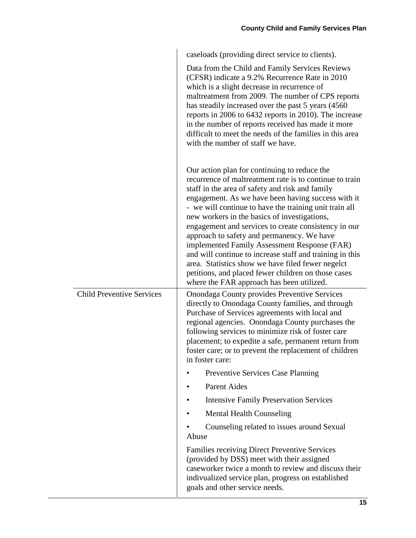|                                  | caseloads (providing direct service to clients).                                                                                                                                                                                                                                                                                                                                                                                                                                                                                                                                                                                                                                                      |
|----------------------------------|-------------------------------------------------------------------------------------------------------------------------------------------------------------------------------------------------------------------------------------------------------------------------------------------------------------------------------------------------------------------------------------------------------------------------------------------------------------------------------------------------------------------------------------------------------------------------------------------------------------------------------------------------------------------------------------------------------|
|                                  | Data from the Child and Family Services Reviews<br>(CFSR) indicate a 9.2% Recurrence Rate in 2010<br>which is a slight decrease in recurrence of<br>maltreatment from 2009. The number of CPS reports<br>has steadily increased over the past 5 years (4560)<br>reports in 2006 to 6432 reports in 2010). The increase<br>in the number of reports received has made it more<br>difficult to meet the needs of the families in this area<br>with the number of staff we have.                                                                                                                                                                                                                         |
|                                  | Our action plan for continuing to reduce the<br>recurrence of maltreatment rate is to continue to train<br>staff in the area of safety and risk and family<br>engagement. As we have been having success with it<br>- we will continue to have the training unit train all<br>new workers in the basics of investigations,<br>engagement and services to create consistency in our<br>approach to safety and permanency. We have<br>implemented Family Assessment Response (FAR)<br>and will continue to increase staff and training in this<br>area. Statistics show we have filed fewer negelct<br>petitions, and placed fewer children on those cases<br>where the FAR approach has been utilized. |
| <b>Child Preventive Services</b> | <b>Onondaga County provides Preventive Services</b><br>directly to Onondaga County families, and through<br>Purchase of Services agreements with local and<br>regional agencies. Onondaga County purchases the<br>following services to minimize risk of foster care<br>placement; to expedite a safe, permanent return from<br>foster care; or to prevent the replacement of children<br>in foster care:                                                                                                                                                                                                                                                                                             |
|                                  | Preventive Services Case Planning                                                                                                                                                                                                                                                                                                                                                                                                                                                                                                                                                                                                                                                                     |
|                                  | <b>Parent Aides</b>                                                                                                                                                                                                                                                                                                                                                                                                                                                                                                                                                                                                                                                                                   |
|                                  | <b>Intensive Family Preservation Services</b>                                                                                                                                                                                                                                                                                                                                                                                                                                                                                                                                                                                                                                                         |
|                                  | <b>Mental Health Counseling</b>                                                                                                                                                                                                                                                                                                                                                                                                                                                                                                                                                                                                                                                                       |
|                                  | Counseling related to issues around Sexual<br>Abuse                                                                                                                                                                                                                                                                                                                                                                                                                                                                                                                                                                                                                                                   |
|                                  | <b>Families receiving Direct Preventive Services</b><br>(provided by DSS) meet with their assigned<br>caseworker twice a month to review and discuss their<br>indivualized service plan, progress on established<br>goals and other service needs.                                                                                                                                                                                                                                                                                                                                                                                                                                                    |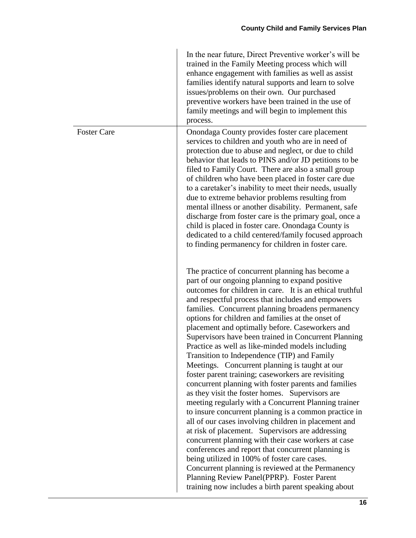|                    | In the near future, Direct Preventive worker's will be<br>trained in the Family Meeting process which will<br>enhance engagement with families as well as assist<br>families identify natural supports and learn to solve<br>issues/problems on their own. Our purchased<br>preventive workers have been trained in the use of<br>family meetings and will begin to implement this<br>process.                                                                                                                                                                                                                                                                                                                                                                                                                                                                                                                                                                                                                                                                                                                                                                                                                                                                                                                      |
|--------------------|---------------------------------------------------------------------------------------------------------------------------------------------------------------------------------------------------------------------------------------------------------------------------------------------------------------------------------------------------------------------------------------------------------------------------------------------------------------------------------------------------------------------------------------------------------------------------------------------------------------------------------------------------------------------------------------------------------------------------------------------------------------------------------------------------------------------------------------------------------------------------------------------------------------------------------------------------------------------------------------------------------------------------------------------------------------------------------------------------------------------------------------------------------------------------------------------------------------------------------------------------------------------------------------------------------------------|
| <b>Foster Care</b> | Onondaga County provides foster care placement<br>services to children and youth who are in need of<br>protection due to abuse and neglect, or due to child<br>behavior that leads to PINS and/or JD petitions to be<br>filed to Family Court. There are also a small group<br>of children who have been placed in foster care due<br>to a caretaker's inability to meet their needs, usually<br>due to extreme behavior problems resulting from<br>mental illness or another disability. Permanent, safe<br>discharge from foster care is the primary goal, once a<br>child is placed in foster care. Onondaga County is<br>dedicated to a child centered/family focused approach<br>to finding permanency for children in foster care.                                                                                                                                                                                                                                                                                                                                                                                                                                                                                                                                                                            |
|                    | The practice of concurrent planning has become a<br>part of our ongoing planning to expand positive<br>outcomes for children in care. It is an ethical truthful<br>and respectful process that includes and empowers<br>families. Concurrent planning broadens permanency<br>options for children and families at the onset of<br>placement and optimally before. Caseworkers and<br>Supervisors have been trained in Concurrent Planning<br>Practice as well as like-minded models including<br>Transition to Independence (TIP) and Family<br>Meetings. Concurrent planning is taught at our<br>foster parent training; caseworkers are revisiting<br>concurrent planning with foster parents and families<br>as they visit the foster homes. Supervisors are<br>meeting regularly with a Concurrent Planning trainer<br>to insure concurrent planning is a common practice in<br>all of our cases involving children in placement and<br>at risk of placement. Supervisors are addressing<br>concurrent planning with their case workers at case<br>conferences and report that concurrent planning is<br>being utilized in 100% of foster care cases.<br>Concurrent planning is reviewed at the Permanency<br>Planning Review Panel(PPRP). Foster Parent<br>training now includes a birth parent speaking about |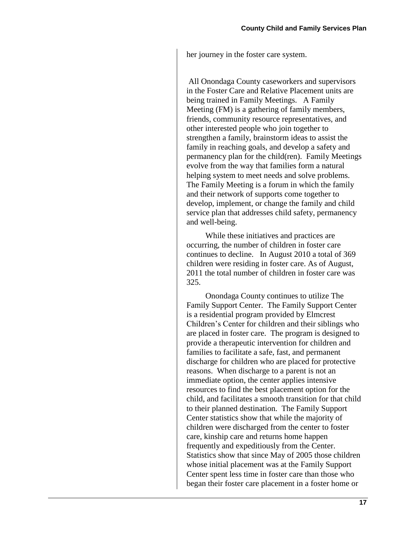her journey in the foster care system.

All Onondaga County caseworkers and supervisors in the Foster Care and Relative Placement units are being trained in Family Meetings. A Family Meeting (FM) is a gathering of family members, friends, community resource representatives, and other interested people who join together to strengthen a family, brainstorm ideas to assist the family in reaching goals, and develop a safety and permanency plan for the child(ren). Family Meetings evolve from the way that families form a natural helping system to meet needs and solve problems. The Family Meeting is a forum in which the family and their network of supports come together to develop, implement, or change the family and child service plan that addresses child safety, permanency and well-being.

While these initiatives and practices are occurring, the number of children in foster care continues to decline. In August 2010 a total of 369 children were residing in foster care. As of August, 2011 the total number of children in foster care was 325.

Onondaga County continues to utilize The Family Support Center. The Family Support Center is a residential program provided by Elmcrest Children's Center for children and their siblings who are placed in foster care. The program is designed to provide a therapeutic intervention for children and families to facilitate a safe, fast, and permanent discharge for children who are placed for protective reasons. When discharge to a parent is not an immediate option, the center applies intensive resources to find the best placement option for the child, and facilitates a smooth transition for that child to their planned destination. The Family Support Center statistics show that while the majority of children were discharged from the center to foster care, kinship care and returns home happen frequently and expeditiously from the Center. Statistics show that since May of 2005 those children whose initial placement was at the Family Support Center spent less time in foster care than those who began their foster care placement in a foster home or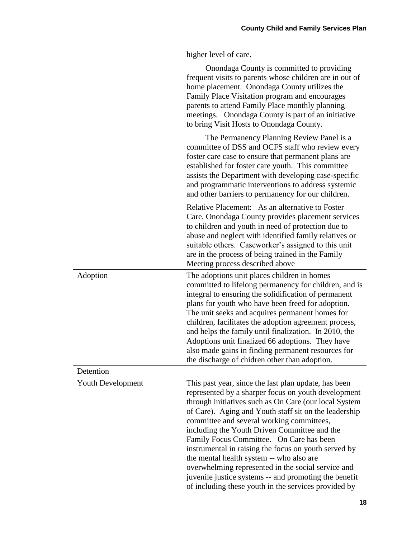higher level of care.

|                          | Onondaga County is committed to providing<br>frequent visits to parents whose children are in out of<br>home placement. Onondaga County utilizes the<br>Family Place Visitation program and encourages<br>parents to attend Family Place monthly planning<br>meetings. Onondaga County is part of an initiative<br>to bring Visit Hosts to Onondaga County.                                                                                                                                                                                                                                                                                       |
|--------------------------|---------------------------------------------------------------------------------------------------------------------------------------------------------------------------------------------------------------------------------------------------------------------------------------------------------------------------------------------------------------------------------------------------------------------------------------------------------------------------------------------------------------------------------------------------------------------------------------------------------------------------------------------------|
|                          | The Permanency Planning Review Panel is a<br>committee of DSS and OCFS staff who review every<br>foster care case to ensure that permanent plans are<br>established for foster care youth. This committee<br>assists the Department with developing case-specific<br>and programmatic interventions to address systemic<br>and other barriers to permanency for our children.                                                                                                                                                                                                                                                                     |
|                          | Relative Placement: As an alternative to Foster<br>Care, Onondaga County provides placement services<br>to children and youth in need of protection due to<br>abuse and neglect with identified family relatives or<br>suitable others. Caseworker's assigned to this unit<br>are in the process of being trained in the Family<br>Meeting process described above                                                                                                                                                                                                                                                                                |
| Adoption                 | The adoptions unit places children in homes<br>committed to lifelong permanency for children, and is<br>integral to ensuring the solidification of permanent<br>plans for youth who have been freed for adoption.<br>The unit seeks and acquires permanent homes for<br>children, facilitates the adoption agreement process,<br>and helps the family until finalization. In 2010, the<br>Adoptions unit finalized 66 adoptions. They have<br>also made gains in finding permanent resources for<br>the discharge of chidren other than adoption.                                                                                                 |
| Detention                |                                                                                                                                                                                                                                                                                                                                                                                                                                                                                                                                                                                                                                                   |
| <b>Youth Development</b> | This past year, since the last plan update, has been<br>represented by a sharper focus on youth development<br>through initiatives such as On Care (our local System<br>of Care). Aging and Youth staff sit on the leadership<br>committee and several working committees,<br>including the Youth Driven Committee and the<br>Family Focus Committee. On Care has been<br>instrumental in raising the focus on youth served by<br>the mental health system -- who also are<br>overwhelming represented in the social service and<br>juvenile justice systems -- and promoting the benefit<br>of including these youth in the services provided by |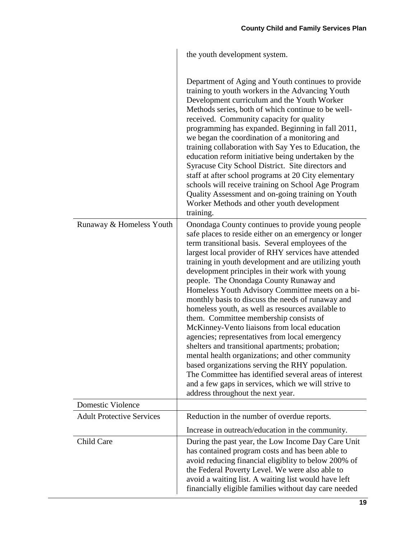|                                  | the youth development system.                                                                                                                                                                                                                                                                                                                                                                                                                                                                                                                                                                                                                                                                                                                                                                                                                                                                                                                                                                              |
|----------------------------------|------------------------------------------------------------------------------------------------------------------------------------------------------------------------------------------------------------------------------------------------------------------------------------------------------------------------------------------------------------------------------------------------------------------------------------------------------------------------------------------------------------------------------------------------------------------------------------------------------------------------------------------------------------------------------------------------------------------------------------------------------------------------------------------------------------------------------------------------------------------------------------------------------------------------------------------------------------------------------------------------------------|
|                                  | Department of Aging and Youth continues to provide<br>training to youth workers in the Advancing Youth<br>Development curriculum and the Youth Worker<br>Methods series, both of which continue to be well-<br>received. Community capacity for quality<br>programming has expanded. Beginning in fall 2011,<br>we began the coordination of a monitoring and<br>training collaboration with Say Yes to Education, the<br>education reform initiative being undertaken by the<br>Syracuse City School District. Site directors and<br>staff at after school programs at 20 City elementary<br>schools will receive training on School Age Program<br>Quality Assessment and on-going training on Youth<br>Worker Methods and other youth development<br>training.                                                                                                                                                                                                                                          |
| Runaway & Homeless Youth         | Onondaga County continues to provide young people<br>safe places to reside either on an emergency or longer<br>term transitional basis. Several employees of the<br>largest local provider of RHY services have attended<br>training in youth development and are utilizing youth<br>development principles in their work with young<br>people. The Onondaga County Runaway and<br>Homeless Youth Advisory Committee meets on a bi-<br>monthly basis to discuss the needs of runaway and<br>homeless youth, as well as resources available to<br>them. Committee membership consists of<br>McKinney-Vento liaisons from local education<br>agencies; representatives from local emergency<br>shelters and transitional apartments; probation;<br>mental health organizations; and other community<br>based organizations serving the RHY population.<br>The Committee has identified several areas of interest<br>and a few gaps in services, which we will strive to<br>address throughout the next year. |
| <b>Domestic Violence</b>         |                                                                                                                                                                                                                                                                                                                                                                                                                                                                                                                                                                                                                                                                                                                                                                                                                                                                                                                                                                                                            |
| <b>Adult Protective Services</b> | Reduction in the number of overdue reports.                                                                                                                                                                                                                                                                                                                                                                                                                                                                                                                                                                                                                                                                                                                                                                                                                                                                                                                                                                |
|                                  | Increase in outreach/education in the community.                                                                                                                                                                                                                                                                                                                                                                                                                                                                                                                                                                                                                                                                                                                                                                                                                                                                                                                                                           |
| Child Care                       | During the past year, the Low Income Day Care Unit<br>has contained program costs and has been able to<br>avoid reducing financial eligiblity to below 200% of<br>the Federal Poverty Level. We were also able to<br>avoid a waiting list. A waiting list would have left<br>financially eligible families without day care needed                                                                                                                                                                                                                                                                                                                                                                                                                                                                                                                                                                                                                                                                         |

 $\left| \right|$  the youth development system.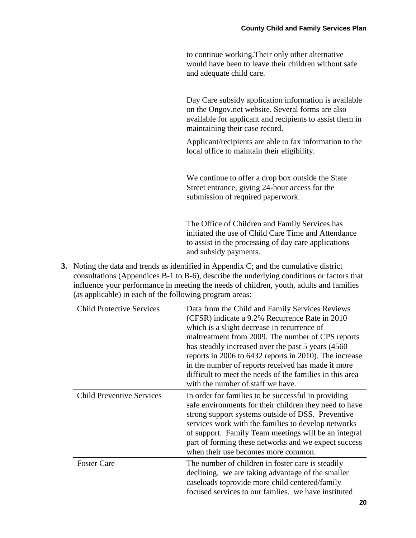to continue working.Their only other alternative would have been to leave their children without safe and adequate child care.

Day Care subsidy application information is available on the Ongov.net website. Several forms are also available for applicant and recipients to assist them in maintaining their case record.

Applicant/recipients are able to fax information to the local office to maintain their eligibility.

We continue to offer a drop box outside the State Street entrance, giving 24-hour access for the submission of required paperwork.

The Office of Children and Family Services has initiated the use of Child Care Time and Attendance to assist in the processing of day care applications and subsidy payments.

**3.** Noting the data and trends as identified in Appendix C; and the cumulative district consultations (Appendices B-1 to B-6), describe the underlying conditions or factors that influence your performance in meeting the needs of children, youth, adults and families (as applicable) in each of the following program areas:

| <b>Child Protective Services</b> | Data from the Child and Family Services Reviews<br>(CFSR) indicate a 9.2% Recurrence Rate in 2010<br>which is a slight decrease in recurrence of<br>maltreatment from 2009. The number of CPS reports<br>has steadily increased over the past 5 years (4560)<br>reports in 2006 to 6432 reports in 2010). The increase<br>in the number of reports received has made it more<br>difficult to meet the needs of the families in this area<br>with the number of staff we have. |
|----------------------------------|-------------------------------------------------------------------------------------------------------------------------------------------------------------------------------------------------------------------------------------------------------------------------------------------------------------------------------------------------------------------------------------------------------------------------------------------------------------------------------|
| <b>Child Preventive Services</b> | In order for families to be successful in providing<br>safe environments for their children they need to have<br>strong support systems outside of DSS. Preventive<br>services work with the families to develop networks<br>of support. Family Team meetings will be an integral<br>part of forming these networks and we expect success<br>when their use becomes more common.                                                                                              |
| <b>Foster Care</b>               | The number of children in foster care is steadily<br>declining. we are taking advantage of the smaller<br>caseloads toprovide more child centered/family<br>focused services to our families. we have instituted                                                                                                                                                                                                                                                              |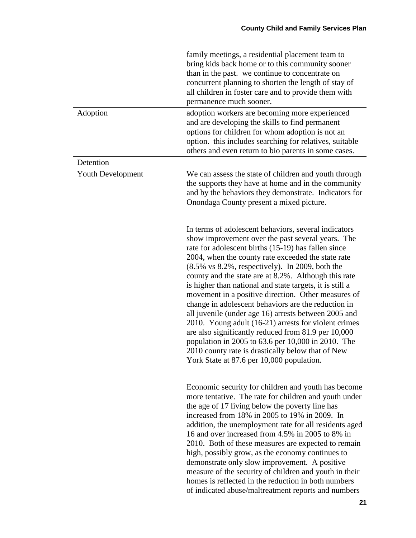|                          | family meetings, a residential placement team to<br>bring kids back home or to this community sooner<br>than in the past. we continue to concentrate on<br>concurrent planning to shorten the length of stay of<br>all children in foster care and to provide them with<br>permanence much sooner.                                                                                                                                                                                                                                                                                                                                                                                                                                                                                                                                                       |
|--------------------------|----------------------------------------------------------------------------------------------------------------------------------------------------------------------------------------------------------------------------------------------------------------------------------------------------------------------------------------------------------------------------------------------------------------------------------------------------------------------------------------------------------------------------------------------------------------------------------------------------------------------------------------------------------------------------------------------------------------------------------------------------------------------------------------------------------------------------------------------------------|
| Adoption                 | adoption workers are becoming more experienced<br>and are developing the skills to find permanent<br>options for children for whom adoption is not an<br>option. this includes searching for relatives, suitable<br>others and even return to bio parents in some cases.                                                                                                                                                                                                                                                                                                                                                                                                                                                                                                                                                                                 |
| Detention                |                                                                                                                                                                                                                                                                                                                                                                                                                                                                                                                                                                                                                                                                                                                                                                                                                                                          |
| <b>Youth Development</b> | We can assess the state of children and youth through<br>the supports they have at home and in the community<br>and by the behaviors they demonstrate. Indicators for<br>Onondaga County present a mixed picture.                                                                                                                                                                                                                                                                                                                                                                                                                                                                                                                                                                                                                                        |
|                          | In terms of adolescent behaviors, several indicators<br>show improvement over the past several years. The<br>rate for adolescent births (15-19) has fallen since<br>2004, when the county rate exceeded the state rate<br>$(8.5\% \text{ vs } 8.2\%$ , respectively). In 2009, both the<br>county and the state are at 8.2%. Although this rate<br>is higher than national and state targets, it is still a<br>movement in a positive direction. Other measures of<br>change in adolescent behaviors are the reduction in<br>all juvenile (under age 16) arrests between 2005 and<br>2010. Young adult (16-21) arrests for violent crimes<br>are also significantly reduced from 81.9 per 10,000<br>population in 2005 to 63.6 per 10,000 in 2010. The<br>2010 county rate is drastically below that of New<br>York State at 87.6 per 10,000 population. |
|                          | Economic security for children and youth has become<br>more tentative. The rate for children and youth under<br>the age of 17 living below the poverty line has<br>increased from 18% in 2005 to 19% in 2009. In<br>addition, the unemployment rate for all residents aged<br>16 and over increased from 4.5% in 2005 to 8% in<br>2010. Both of these measures are expected to remain<br>high, possibly grow, as the economy continues to<br>demonstrate only slow improvement. A positive<br>measure of the security of children and youth in their<br>homes is reflected in the reduction in both numbers<br>of indicated abuse/maltreatment reports and numbers                                                                                                                                                                                       |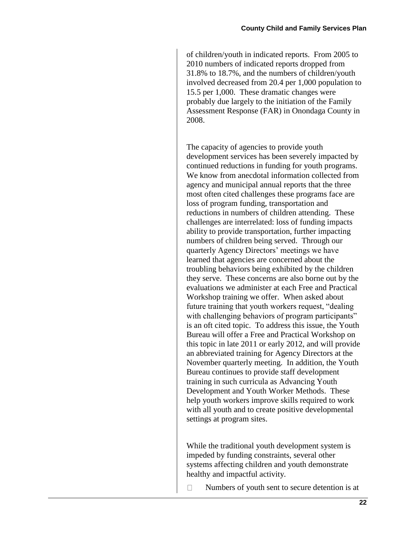of children/youth in indicated reports. From 2005 to 2010 numbers of indicated reports dropped from 31.8% to 18.7%, and the numbers of children/youth involved decreased from 20.4 per 1,000 population to 15.5 per 1,000. These dramatic changes were probably due largely to the initiation of the Family Assessment Response (FAR) in Onondaga County in 2008.

The capacity of agencies to provide youth development services has been severely impacted by continued reductions in funding for youth programs. We know from anecdotal information collected from agency and municipal annual reports that the three most often cited challenges these programs face are loss of program funding, transportation and reductions in numbers of children attending. These challenges are interrelated: loss of funding impacts ability to provide transportation, further impacting numbers of children being served. Through our quarterly Agency Directors' meetings we have learned that agencies are concerned about the troubling behaviors being exhibited by the children they serve. These concerns are also borne out by the evaluations we administer at each Free and Practical Workshop training we offer. When asked about future training that youth workers request, "dealing with challenging behaviors of program participants" is an oft cited topic. To address this issue, the Youth Bureau will offer a Free and Practical Workshop on this topic in late 2011 or early 2012, and will provide an abbreviated training for Agency Directors at the November quarterly meeting. In addition, the Youth Bureau continues to provide staff development training in such curricula as Advancing Youth Development and Youth Worker Methods. These help youth workers improve skills required to work with all youth and to create positive developmental settings at program sites.

While the traditional youth development system is impeded by funding constraints, several other systems affecting children and youth demonstrate healthy and impactful activity.

 $\Box$ Numbers of youth sent to secure detention is at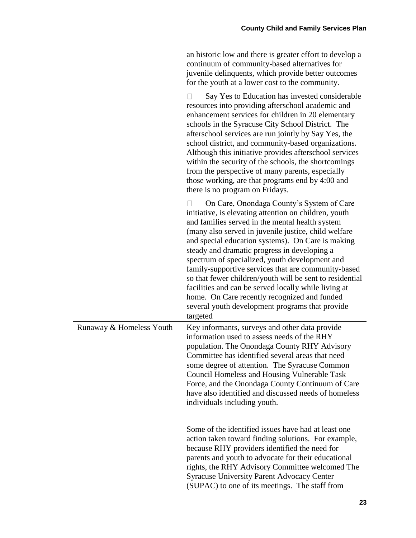an historic low and there is greater effort to develop a continuum of community-based alternatives for juvenile delinquents, which provide better outcomes for the youth at a lower cost to the community.

|                          | Say Yes to Education has invested considerable<br>resources into providing afterschool academic and<br>enhancement services for children in 20 elementary<br>schools in the Syracuse City School District. The<br>afterschool services are run jointly by Say Yes, the<br>school district, and community-based organizations.<br>Although this initiative provides afterschool services<br>within the security of the schools, the shortcomings<br>from the perspective of many parents, especially<br>those working, are that programs end by 4:00 and<br>there is no program on Fridays.                                                                     |
|--------------------------|----------------------------------------------------------------------------------------------------------------------------------------------------------------------------------------------------------------------------------------------------------------------------------------------------------------------------------------------------------------------------------------------------------------------------------------------------------------------------------------------------------------------------------------------------------------------------------------------------------------------------------------------------------------|
|                          | On Care, Onondaga County's System of Care<br>initiative, is elevating attention on children, youth<br>and families served in the mental health system<br>(many also served in juvenile justice, child welfare<br>and special education systems). On Care is making<br>steady and dramatic progress in developing a<br>spectrum of specialized, youth development and<br>family-supportive services that are community-based<br>so that fewer children/youth will be sent to residential<br>facilities and can be served locally while living at<br>home. On Care recently recognized and funded<br>several youth development programs that provide<br>targeted |
| Runaway & Homeless Youth | Key informants, surveys and other data provide<br>information used to assess needs of the RHY<br>population. The Onondaga County RHY Advisory<br>Committee has identified several areas that need<br>some degree of attention. The Syracuse Common<br><b>Council Homeless and Housing Vulnerable Task</b><br>Force, and the Onondaga County Continuum of Care<br>have also identified and discussed needs of homeless<br>individuals including youth.                                                                                                                                                                                                          |
|                          | Some of the identified issues have had at least one<br>action taken toward finding solutions. For example,<br>because RHY providers identified the need for<br>parents and youth to advocate for their educational<br>rights, the RHY Advisory Committee welcomed The<br><b>Syracuse University Parent Advocacy Center</b><br>(SUPAC) to one of its meetings. The staff from                                                                                                                                                                                                                                                                                   |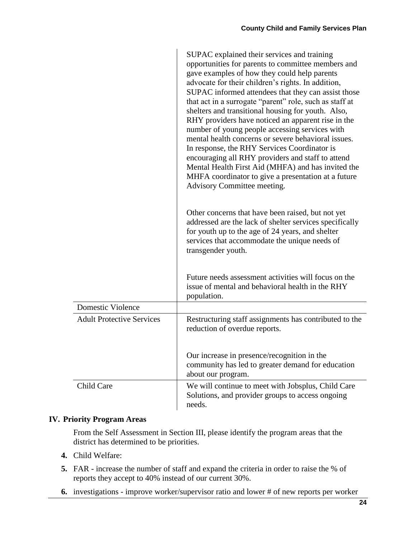|                                  | SUPAC explained their services and training<br>opportunities for parents to committee members and<br>gave examples of how they could help parents<br>advocate for their children's rights. In addition,<br>SUPAC informed attendees that they can assist those<br>that act in a surrogate "parent" role, such as staff at<br>shelters and transitional housing for youth. Also,<br>RHY providers have noticed an apparent rise in the<br>number of young people accessing services with<br>mental health concerns or severe behavioral issues.<br>In response, the RHY Services Coordinator is<br>encouraging all RHY providers and staff to attend<br>Mental Health First Aid (MHFA) and has invited the<br>MHFA coordinator to give a presentation at a future<br>Advisory Committee meeting.<br>Other concerns that have been raised, but not yet<br>addressed are the lack of shelter services specifically |
|----------------------------------|-----------------------------------------------------------------------------------------------------------------------------------------------------------------------------------------------------------------------------------------------------------------------------------------------------------------------------------------------------------------------------------------------------------------------------------------------------------------------------------------------------------------------------------------------------------------------------------------------------------------------------------------------------------------------------------------------------------------------------------------------------------------------------------------------------------------------------------------------------------------------------------------------------------------|
|                                  | for youth up to the age of 24 years, and shelter<br>services that accommodate the unique needs of<br>transgender youth.<br>Future needs assessment activities will focus on the<br>issue of mental and behavioral health in the RHY<br>population.                                                                                                                                                                                                                                                                                                                                                                                                                                                                                                                                                                                                                                                              |
| Domestic Violence                |                                                                                                                                                                                                                                                                                                                                                                                                                                                                                                                                                                                                                                                                                                                                                                                                                                                                                                                 |
| <b>Adult Protective Services</b> | Restructuring staff assignments has contributed to the<br>reduction of overdue reports.                                                                                                                                                                                                                                                                                                                                                                                                                                                                                                                                                                                                                                                                                                                                                                                                                         |
|                                  | Our increase in presence/recognition in the<br>community has led to greater demand for education<br>about our program.                                                                                                                                                                                                                                                                                                                                                                                                                                                                                                                                                                                                                                                                                                                                                                                          |
| Child Care                       | We will continue to meet with Jobsplus, Child Care<br>Solutions, and provider groups to access ongoing<br>needs.                                                                                                                                                                                                                                                                                                                                                                                                                                                                                                                                                                                                                                                                                                                                                                                                |

## **IV. Priority Program Areas**

From the Self Assessment in Section III, please identify the program areas that the district has determined to be priorities.

- **4.** Child Welfare:
- **5.** FAR increase the number of staff and expand the criteria in order to raise the % of reports they accept to 40% instead of our current 30%.
- **6.** investigations improve worker/supervisor ratio and lower # of new reports per worker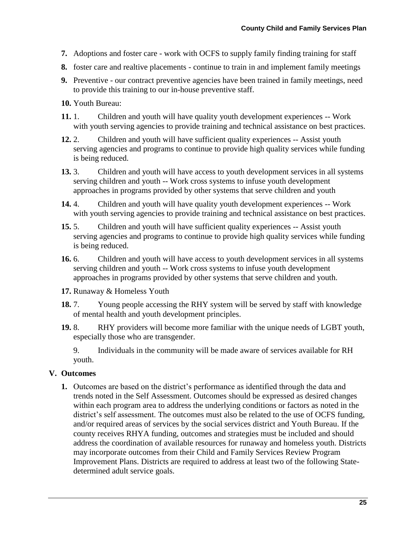- **7.** Adoptions and foster care work with OCFS to supply family finding training for staff
- **8.** foster care and realtive placements continue to train in and implement family meetings
- **9.** Preventive our contract preventive agencies have been trained in family meetings, need to provide this training to our in-house preventive staff.
- **10.** Youth Bureau:
- **11.** 1. Children and youth will have quality youth development experiences -- Work with youth serving agencies to provide training and technical assistance on best practices.
- **12.** 2. Children and youth will have sufficient quality experiences -- Assist youth serving agencies and programs to continue to provide high quality services while funding is being reduced.
- **13.** 3. Children and youth will have access to youth development services in all systems serving children and youth -- Work cross systems to infuse youth development approaches in programs provided by other systems that serve children and youth
- **14.** 4. Children and youth will have quality youth development experiences -- Work with youth serving agencies to provide training and technical assistance on best practices.
- **15.** 5. Children and youth will have sufficient quality experiences -- Assist youth serving agencies and programs to continue to provide high quality services while funding is being reduced.
- **16.** 6. Children and youth will have access to youth development services in all systems serving children and youth -- Work cross systems to infuse youth development approaches in programs provided by other systems that serve children and youth.
- **17.** Runaway & Homeless Youth
- **18.** 7. Young people accessing the RHY system will be served by staff with knowledge of mental health and youth development principles.
- **19.** 8. RHY providers will become more familiar with the unique needs of LGBT youth, especially those who are transgender.
	- 9. Individuals in the community will be made aware of services available for RH youth.

## **V. Outcomes**

**1.** Outcomes are based on the district's performance as identified through the data and trends noted in the Self Assessment. Outcomes should be expressed as desired changes within each program area to address the underlying conditions or factors as noted in the district's self assessment. The outcomes must also be related to the use of OCFS funding, and/or required areas of services by the social services district and Youth Bureau. If the county receives RHYA funding, outcomes and strategies must be included and should address the coordination of available resources for runaway and homeless youth. Districts may incorporate outcomes from their Child and Family Services Review Program Improvement Plans. Districts are required to address at least two of the following Statedetermined adult service goals.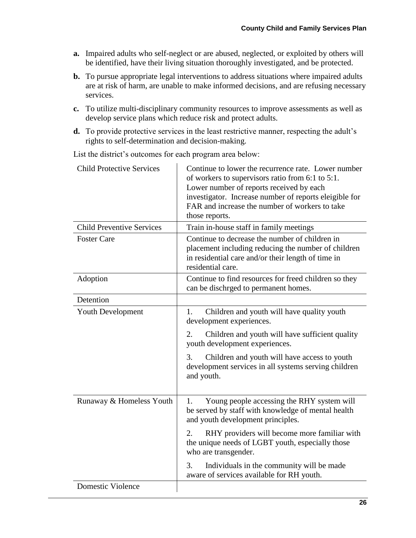- **a.** Impaired adults who self-neglect or are abused, neglected, or exploited by others will be identified, have their living situation thoroughly investigated, and be protected.
- **b.** To pursue appropriate legal interventions to address situations where impaired adults are at risk of harm, are unable to make informed decisions, and are refusing necessary services.
- **c.** To utilize multi-disciplinary community resources to improve assessments as well as develop service plans which reduce risk and protect adults.
- **d.** To provide protective services in the least restrictive manner, respecting the adult's rights to self-determination and decision-making.

List the district's outcomes for each program area below:

| <b>Child Protective Services</b> | Continue to lower the recurrence rate. Lower number<br>of workers to supervisors ratio from 6:1 to 5:1.<br>Lower number of reports received by each<br>investigator. Increase number of reports eleigible for<br>FAR and increase the number of workers to take<br>those reports. |
|----------------------------------|-----------------------------------------------------------------------------------------------------------------------------------------------------------------------------------------------------------------------------------------------------------------------------------|
| <b>Child Preventive Services</b> | Train in-house staff in family meetings                                                                                                                                                                                                                                           |
| <b>Foster Care</b>               | Continue to decrease the number of children in<br>placement including reducing the number of children<br>in residential care and/or their length of time in<br>residential care.                                                                                                  |
| Adoption                         | Continue to find resources for freed children so they<br>can be dischrged to permanent homes.                                                                                                                                                                                     |
| Detention                        |                                                                                                                                                                                                                                                                                   |
| <b>Youth Development</b>         | Children and youth will have quality youth<br>1.<br>development experiences.                                                                                                                                                                                                      |
|                                  | 2.<br>Children and youth will have sufficient quality<br>youth development experiences.                                                                                                                                                                                           |
|                                  | Children and youth will have access to youth<br>3.<br>development services in all systems serving children<br>and youth.                                                                                                                                                          |
| Runaway & Homeless Youth         | Young people accessing the RHY system will<br>1.<br>be served by staff with knowledge of mental health<br>and youth development principles.                                                                                                                                       |
|                                  | RHY providers will become more familiar with<br>2.<br>the unique needs of LGBT youth, especially those<br>who are transgender.                                                                                                                                                    |
|                                  | 3.<br>Individuals in the community will be made<br>aware of services available for RH youth.                                                                                                                                                                                      |
| <b>Domestic Violence</b>         |                                                                                                                                                                                                                                                                                   |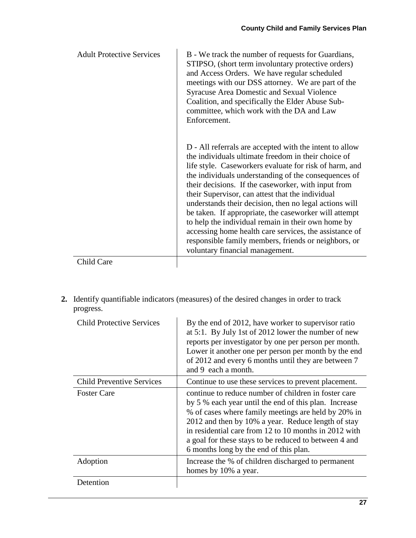| <b>Adult Protective Services</b> | B - We track the number of requests for Guardians,<br>STIPSO, (short term involuntary protective orders)<br>and Access Orders. We have regular scheduled<br>meetings with our DSS attorney. We are part of the<br><b>Syracuse Area Domestic and Sexual Violence</b><br>Coalition, and specifically the Elder Abuse Sub-<br>committee, which work with the DA and Law<br>Enforcement.                                                                                                                                                                                                                                                                                      |
|----------------------------------|---------------------------------------------------------------------------------------------------------------------------------------------------------------------------------------------------------------------------------------------------------------------------------------------------------------------------------------------------------------------------------------------------------------------------------------------------------------------------------------------------------------------------------------------------------------------------------------------------------------------------------------------------------------------------|
|                                  | D - All referrals are accepted with the intent to allow<br>the individuals ultimate freedom in their choice of<br>life style. Caseworkers evaluate for risk of harm, and<br>the individuals understanding of the consequences of<br>their decisions. If the caseworker, with input from<br>their Supervisor, can attest that the individual<br>understands their decision, then no legal actions will<br>be taken. If appropriate, the caseworker will attempt<br>to help the individual remain in their own home by<br>accessing home health care services, the assistance of<br>responsible family members, friends or neighbors, or<br>voluntary financial management. |
| Child Care                       |                                                                                                                                                                                                                                                                                                                                                                                                                                                                                                                                                                                                                                                                           |

**2.** Identify quantifiable indicators (measures) of the desired changes in order to track progress.

| <b>Child Protective Services</b> | By the end of 2012, have worker to supervisor ratio<br>at 5:1. By July 1st of 2012 lower the number of new<br>reports per investigator by one per person per month.<br>Lower it another one per person per month by the end<br>of 2012 and every 6 months until they are between 7<br>and 9 each a month.                                                                              |
|----------------------------------|----------------------------------------------------------------------------------------------------------------------------------------------------------------------------------------------------------------------------------------------------------------------------------------------------------------------------------------------------------------------------------------|
| <b>Child Preventive Services</b> | Continue to use these services to prevent placement.                                                                                                                                                                                                                                                                                                                                   |
| <b>Foster Care</b>               | continue to reduce number of children in foster care<br>by 5 % each year until the end of this plan. Increase<br>% of cases where family meetings are held by 20% in<br>2012 and then by 10% a year. Reduce length of stay<br>in residential care from 12 to 10 months in 2012 with<br>a goal for these stays to be reduced to between 4 and<br>6 months long by the end of this plan. |
| Adoption                         | Increase the % of children discharged to permanent<br>homes by 10% a year.                                                                                                                                                                                                                                                                                                             |
| Detention                        |                                                                                                                                                                                                                                                                                                                                                                                        |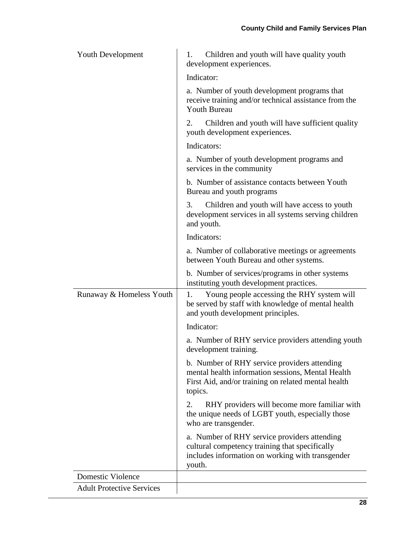| <b>Youth Development</b>         | Children and youth will have quality youth<br>1.<br>development experiences.                                                                                        |
|----------------------------------|---------------------------------------------------------------------------------------------------------------------------------------------------------------------|
|                                  | Indicator:                                                                                                                                                          |
|                                  | a. Number of youth development programs that<br>receive training and/or technical assistance from the<br><b>Youth Bureau</b>                                        |
|                                  | 2.<br>Children and youth will have sufficient quality<br>youth development experiences.                                                                             |
|                                  | Indicators:                                                                                                                                                         |
|                                  | a. Number of youth development programs and<br>services in the community                                                                                            |
|                                  | b. Number of assistance contacts between Youth<br>Bureau and youth programs                                                                                         |
|                                  | 3.<br>Children and youth will have access to youth<br>development services in all systems serving children<br>and youth.                                            |
|                                  | Indicators:                                                                                                                                                         |
|                                  | a. Number of collaborative meetings or agreements<br>between Youth Bureau and other systems.                                                                        |
|                                  | b. Number of services/programs in other systems<br>instituting youth development practices.                                                                         |
| Runaway & Homeless Youth         | Young people accessing the RHY system will<br>1.<br>be served by staff with knowledge of mental health<br>and youth development principles.                         |
|                                  | Indicator:                                                                                                                                                          |
|                                  | a. Number of RHY service providers attending youth<br>development training.                                                                                         |
|                                  | b. Number of RHY service providers attending<br>mental health information sessions, Mental Health<br>First Aid, and/or training on related mental health<br>topics. |
|                                  | RHY providers will become more familiar with<br>2.<br>the unique needs of LGBT youth, especially those<br>who are transgender.                                      |
|                                  | a. Number of RHY service providers attending<br>cultural competency training that specifically<br>includes information on working with transgender<br>youth.        |
| <b>Domestic Violence</b>         |                                                                                                                                                                     |
| <b>Adult Protective Services</b> |                                                                                                                                                                     |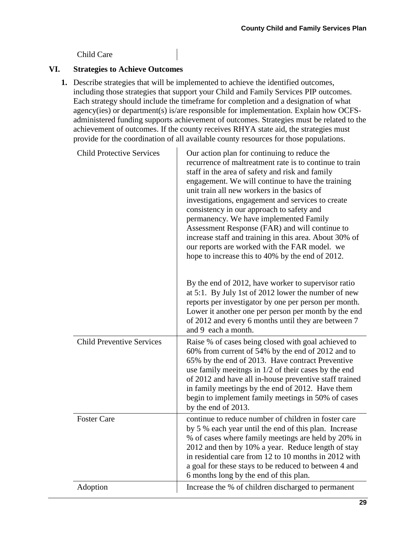## Child Care

## **VI. Strategies to Achieve Outcomes**

**1.** Describe strategies that will be implemented to achieve the identified outcomes, including those strategies that support your Child and Family Services PIP outcomes. Each strategy should include the timeframe for completion and a designation of what agency(ies) or department(s) is/are responsible for implementation. Explain how OCFSadministered funding supports achievement of outcomes. Strategies must be related to the achievement of outcomes. If the county receives RHYA state aid, the strategies must provide for the coordination of all available county resources for those populations.

| <b>Child Protective Services</b> | Our action plan for continuing to reduce the<br>recurrence of maltreatment rate is to continue to train<br>staff in the area of safety and risk and family<br>engagement. We will continue to have the training<br>unit train all new workers in the basics of<br>investigations, engagement and services to create<br>consistency in our approach to safety and<br>permanency. We have implemented Family<br>Assessment Response (FAR) and will continue to<br>increase staff and training in this area. About 30% of<br>our reports are worked with the FAR model. we<br>hope to increase this to 40% by the end of 2012. |
|----------------------------------|-----------------------------------------------------------------------------------------------------------------------------------------------------------------------------------------------------------------------------------------------------------------------------------------------------------------------------------------------------------------------------------------------------------------------------------------------------------------------------------------------------------------------------------------------------------------------------------------------------------------------------|
|                                  | By the end of 2012, have worker to supervisor ratio<br>at 5:1. By July 1st of 2012 lower the number of new<br>reports per investigator by one per person per month.<br>Lower it another one per person per month by the end<br>of 2012 and every 6 months until they are between 7<br>and 9 each a month.                                                                                                                                                                                                                                                                                                                   |
| <b>Child Preventive Services</b> | Raise % of cases being closed with goal achieved to<br>60% from current of 54% by the end of 2012 and to<br>65% by the end of 2013. Have contract Preventive<br>use family meetings in 1/2 of their cases by the end<br>of 2012 and have all in-house preventive staff trained<br>in family meetings by the end of 2012. Have them<br>begin to implement family meetings in 50% of cases<br>by the end of 2013.                                                                                                                                                                                                             |
| <b>Foster Care</b>               | continue to reduce number of children in foster care<br>by 5 % each year until the end of this plan. Increase<br>% of cases where family meetings are held by 20% in<br>2012 and then by 10% a year. Reduce length of stay<br>in residential care from 12 to 10 months in 2012 with<br>a goal for these stays to be reduced to between 4 and<br>6 months long by the end of this plan.                                                                                                                                                                                                                                      |
| Adoption                         | Increase the % of children discharged to permanent                                                                                                                                                                                                                                                                                                                                                                                                                                                                                                                                                                          |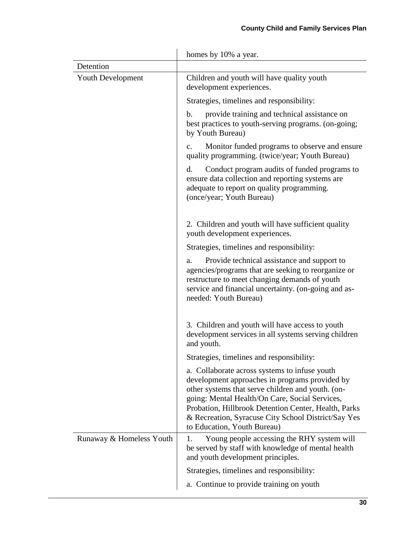|                          | homes by 10% a year.                                                                                                                                                                                                                                                                                                                                 |
|--------------------------|------------------------------------------------------------------------------------------------------------------------------------------------------------------------------------------------------------------------------------------------------------------------------------------------------------------------------------------------------|
| Detention                |                                                                                                                                                                                                                                                                                                                                                      |
| <b>Youth Development</b> | Children and youth will have quality youth<br>development experiences.                                                                                                                                                                                                                                                                               |
|                          | Strategies, timelines and responsibility:                                                                                                                                                                                                                                                                                                            |
|                          | provide training and technical assistance on<br>b.<br>best practices to youth-serving programs. (on-going;<br>by Youth Bureau)                                                                                                                                                                                                                       |
|                          | Monitor funded programs to observe and ensure.<br>$\mathbf{c}$ .<br>quality programming. (twice/year; Youth Bureau)                                                                                                                                                                                                                                  |
|                          | Conduct program audits of funded programs to<br>d.<br>ensure data collection and reporting systems are<br>adequate to report on quality programming.<br>(once/year; Youth Bureau)                                                                                                                                                                    |
|                          | 2. Children and youth will have sufficient quality<br>youth development experiences.                                                                                                                                                                                                                                                                 |
|                          | Strategies, timelines and responsibility:                                                                                                                                                                                                                                                                                                            |
|                          | Provide technical assistance and support to<br>a.<br>agencies/programs that are seeking to reorganize or<br>restructure to meet changing demands of youth<br>service and financial uncertainty. (on-going and as-<br>needed: Youth Bureau)                                                                                                           |
|                          | 3. Children and youth will have access to youth<br>development services in all systems serving children<br>and youth.                                                                                                                                                                                                                                |
|                          | Strategies, timelines and responsibility:                                                                                                                                                                                                                                                                                                            |
|                          | a. Collaborate across systems to infuse youth<br>development approaches in programs provided by<br>other systems that serve children and youth. (on-<br>going: Mental Health/On Care, Social Services,<br>Probation, Hillbrook Detention Center, Health, Parks<br>& Recreation, Syracuse City School District/Say Yes<br>to Education, Youth Bureau) |
| Runaway & Homeless Youth | Young people accessing the RHY system will<br>Ī.<br>be served by staff with knowledge of mental health<br>and youth development principles.                                                                                                                                                                                                          |
|                          | Strategies, timelines and responsibility:                                                                                                                                                                                                                                                                                                            |
|                          | a. Continue to provide training on youth                                                                                                                                                                                                                                                                                                             |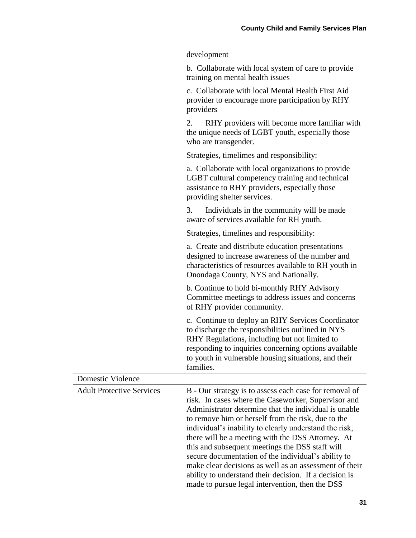| development |
|-------------|
|-------------|

b. Collaborate with local system of care to provide training on mental health issues

c. Collaborate with local Mental Health First Aid provider to encourage more participation by RHY providers

2. RHY providers will become more familiar with the unique needs of LGBT youth, especially those who are transgender.

Strategies, timelimes and responsibility:

| a. Collaborate with local organizations to provide                                                  |  |  |
|-----------------------------------------------------------------------------------------------------|--|--|
| LGBT cultural competency training and technical                                                     |  |  |
| assistance to RHY providers, especially those                                                       |  |  |
| providing shelter services.                                                                         |  |  |
| Individuals in the community will be made<br>3.<br>aware of services available for RH youth.        |  |  |
| Strategies, timelines and responsibility:                                                           |  |  |
| a. Create and distribute education presentations<br>doviand to increase awareness of the number and |  |  |

designed to increase awareness of the number and characteristics of resources available to RH youth in Onondaga County, NYS and Nationally.

b. Continue to hold bi-monthly RHY Advisory Committee meetings to address issues and concerns of RHY provider community.

c. Continue to deploy an RHY Services Coordinator to discharge the responsibilities outlined in NYS RHY Regulations, including but not limited to responding to inquiries concerning options available to youth in vulnerable housing situations, and their families.

| Domestic Violence                |                                                                                                                                                                                                                                                                                                                                                                                                                                                                                                                                                                                                                               |
|----------------------------------|-------------------------------------------------------------------------------------------------------------------------------------------------------------------------------------------------------------------------------------------------------------------------------------------------------------------------------------------------------------------------------------------------------------------------------------------------------------------------------------------------------------------------------------------------------------------------------------------------------------------------------|
| <b>Adult Protective Services</b> | B - Our strategy is to assess each case for removal of<br>risk. In cases where the Caseworker, Supervisor and<br>Administrator determine that the individual is unable.<br>to remove him or herself from the risk, due to the<br>individual's inability to clearly understand the risk,<br>there will be a meeting with the DSS Attorney. At<br>this and subsequent meetings the DSS staff will<br>secure documentation of the individual's ability to<br>make clear decisions as well as an assessment of their<br>ability to understand their decision. If a decision is<br>made to pursue legal intervention, then the DSS |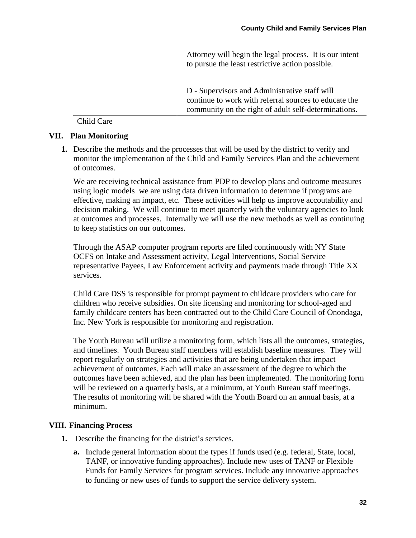Attorney will begin the legal process. It is our intent to pursue the least restrictive action possible.

D - Supervisors and Administrative staff will continue to work with referral sources to educate the community on the right of adult self-determinations.

Child Care

#### **VII. Plan Monitoring**

**1.** Describe the methods and the processes that will be used by the district to verify and monitor the implementation of the Child and Family Services Plan and the achievement of outcomes.

We are receiving technical assistance from PDP to develop plans and outcome measures using logic models we are using data driven information to determne if programs are effective, making an impact, etc. These activities will help us improve accoutability and decision making. We will continue to meet quarterly with the voluntary agencies to look at outcomes and processes. Internally we will use the new methods as well as continuing to keep statistics on our outcomes.

Through the ASAP computer program reports are filed continuously with NY State OCFS on Intake and Assessment activity, Legal Interventions, Social Service representative Payees, Law Enforcement activity and payments made through Title XX services.

Child Care DSS is responsible for prompt payment to childcare providers who care for children who receive subsidies. On site licensing and monitoring for school-aged and family childcare centers has been contracted out to the Child Care Council of Onondaga, Inc. New York is responsible for monitoring and registration.

The Youth Bureau will utilize a monitoring form, which lists all the outcomes, strategies, and timelines. Youth Bureau staff members will establish baseline measures. They will report regularly on strategies and activities that are being undertaken that impact achievement of outcomes. Each will make an assessment of the degree to which the outcomes have been achieved, and the plan has been implemented. The monitoring form will be reviewed on a quarterly basis, at a minimum, at Youth Bureau staff meetings. The results of monitoring will be shared with the Youth Board on an annual basis, at a minimum.

#### **VIII. Financing Process**

- **1.** Describe the financing for the district's services.
	- **a.** Include general information about the types if funds used (e.g. federal, State, local, TANF, or innovative funding approaches). Include new uses of TANF or Flexible Funds for Family Services for program services. Include any innovative approaches to funding or new uses of funds to support the service delivery system.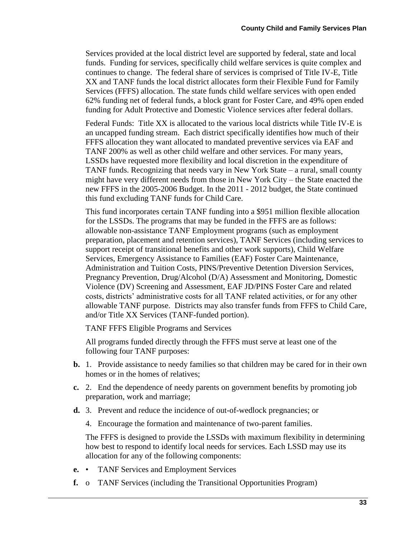Services provided at the local district level are supported by federal, state and local funds. Funding for services, specifically child welfare services is quite complex and continues to change. The federal share of services is comprised of Title IV-E, Title XX and TANF funds the local district allocates form their Flexible Fund for Family Services (FFFS) allocation. The state funds child welfare services with open ended 62% funding net of federal funds, a block grant for Foster Care, and 49% open ended funding for Adult Protective and Domestic Violence services after federal dollars.

Federal Funds: Title XX is allocated to the various local districts while Title IV-E is an uncapped funding stream. Each district specifically identifies how much of their FFFS allocation they want allocated to mandated preventive services via EAF and TANF 200% as well as other child welfare and other services. For many years, LSSDs have requested more flexibility and local discretion in the expenditure of TANF funds. Recognizing that needs vary in New York State – a rural, small county might have very different needs from those in New York City – the State enacted the new FFFS in the 2005-2006 Budget. In the 2011 - 2012 budget, the State continued this fund excluding TANF funds for Child Care.

This fund incorporates certain TANF funding into a \$951 million flexible allocation for the LSSDs. The programs that may be funded in the FFFS are as follows: allowable non-assistance TANF Employment programs (such as employment preparation, placement and retention services), TANF Services (including services to support receipt of transitional benefits and other work supports), Child Welfare Services, Emergency Assistance to Families (EAF) Foster Care Maintenance, Administration and Tuition Costs, PINS/Preventive Detention Diversion Services, Pregnancy Prevention, Drug/Alcohol (D/A) Assessment and Monitoring, Domestic Violence (DV) Screening and Assessment, EAF JD/PINS Foster Care and related costs, districts' administrative costs for all TANF related activities, or for any other allowable TANF purpose. Districts may also transfer funds from FFFS to Child Care, and/or Title XX Services (TANF-funded portion).

TANF FFFS Eligible Programs and Services

All programs funded directly through the FFFS must serve at least one of the following four TANF purposes:

- **b.** 1. Provide assistance to needy families so that children may be cared for in their own homes or in the homes of relatives;
- **c.** 2. End the dependence of needy parents on government benefits by promoting job preparation, work and marriage;
- **d.** 3. Prevent and reduce the incidence of out-of-wedlock pregnancies; or
	- 4. Encourage the formation and maintenance of two-parent families.

The FFFS is designed to provide the LSSDs with maximum flexibility in determining how best to respond to identify local needs for services. Each LSSD may use its allocation for any of the following components:

- **e.** TANF Services and Employment Services
- **f.** o TANF Services (including the Transitional Opportunities Program)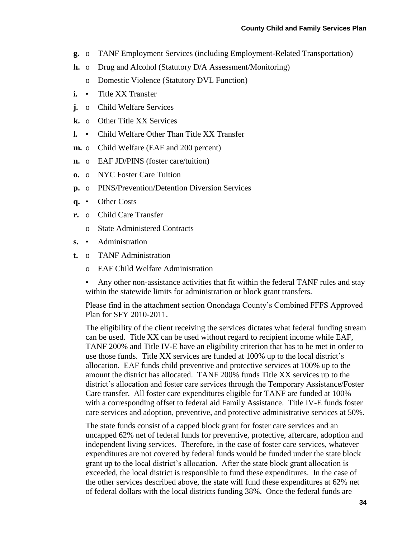- **g.** o TANF Employment Services (including Employment-Related Transportation)
- **h.** o Drug and Alcohol (Statutory D/A Assessment/Monitoring)
	- o Domestic Violence (Statutory DVL Function)
- **i.** Title XX Transfer
- **j.** o Child Welfare Services
- **k.** o Other Title XX Services
- **l.** Child Welfare Other Than Title XX Transfer
- **m.** o Child Welfare (EAF and 200 percent)
- **n.** o EAF JD/PINS (foster care/tuition)
- **o.** o NYC Foster Care Tuition
- **p.** o PINS/Prevention/Detention Diversion Services
- **q.** Other Costs
- **r.** o Child Care Transfer
	- o State Administered Contracts
- **s.** Administration
- **t.** o TANF Administration
	- o EAF Child Welfare Administration
	- Any other non-assistance activities that fit within the federal TANF rules and stay within the statewide limits for administration or block grant transfers.

Please find in the attachment section Onondaga County's Combined FFFS Approved Plan for SFY 2010-2011.

The eligibility of the client receiving the services dictates what federal funding stream can be used. Title XX can be used without regard to recipient income while EAF, TANF 200% and Title IV-E have an eligibility criterion that has to be met in order to use those funds. Title XX services are funded at 100% up to the local district's allocation. EAF funds child preventive and protective services at 100% up to the amount the district has allocated. TANF 200% funds Title XX services up to the district's allocation and foster care services through the Temporary Assistance/Foster Care transfer. All foster care expenditures eligible for TANF are funded at 100% with a corresponding offset to federal aid Family Assistance. Title IV-E funds foster care services and adoption, preventive, and protective administrative services at 50%.

The state funds consist of a capped block grant for foster care services and an uncapped 62% net of federal funds for preventive, protective, aftercare, adoption and independent living services. Therefore, in the case of foster care services, whatever expenditures are not covered by federal funds would be funded under the state block grant up to the local district's allocation. After the state block grant allocation is exceeded, the local district is responsible to fund these expenditures. In the case of the other services described above, the state will fund these expenditures at 62% net of federal dollars with the local districts funding 38%. Once the federal funds are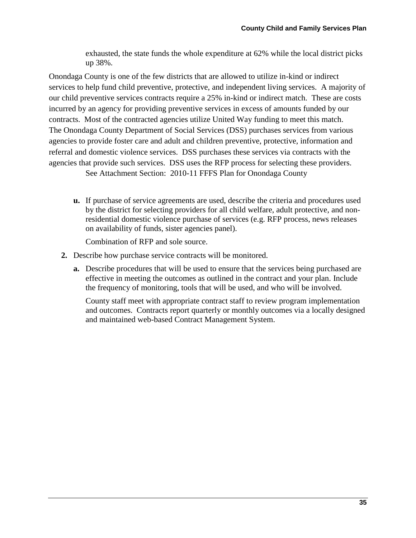exhausted, the state funds the whole expenditure at 62% while the local district picks up 38%.

Onondaga County is one of the few districts that are allowed to utilize in-kind or indirect services to help fund child preventive, protective, and independent living services. A majority of our child preventive services contracts require a 25% in-kind or indirect match. These are costs incurred by an agency for providing preventive services in excess of amounts funded by our contracts. Most of the contracted agencies utilize United Way funding to meet this match. The Onondaga County Department of Social Services (DSS) purchases services from various agencies to provide foster care and adult and children preventive, protective, information and referral and domestic violence services. DSS purchases these services via contracts with the agencies that provide such services. DSS uses the RFP process for selecting these providers.

See Attachment Section: 2010-11 FFFS Plan for Onondaga County

**u.** If purchase of service agreements are used, describe the criteria and procedures used by the district for selecting providers for all child welfare, adult protective, and nonresidential domestic violence purchase of services (e.g. RFP process, news releases on availability of funds, sister agencies panel).

Combination of RFP and sole source.

- **2.** Describe how purchase service contracts will be monitored.
	- **a.** Describe procedures that will be used to ensure that the services being purchased are effective in meeting the outcomes as outlined in the contract and your plan. Include the frequency of monitoring, tools that will be used, and who will be involved.

County staff meet with appropriate contract staff to review program implementation and outcomes. Contracts report quarterly or monthly outcomes via a locally designed and maintained web-based Contract Management System.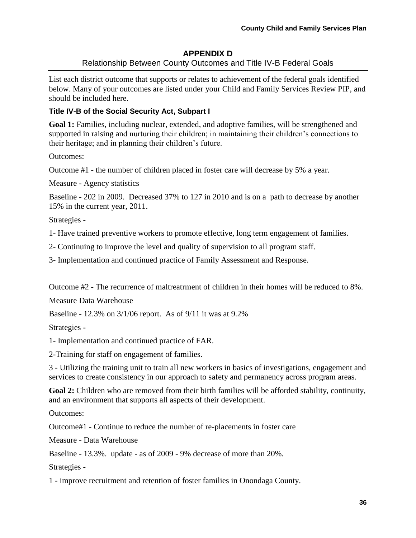### **APPENDIX D** Relationship Between County Outcomes and Title IV-B Federal Goals

List each district outcome that supports or relates to achievement of the federal goals identified below. Many of your outcomes are listed under your Child and Family Services Review PIP, and should be included here.

# **Title IV-B of the Social Security Act, Subpart I**

**Goal 1:** Families, including nuclear, extended, and adoptive families, will be strengthened and supported in raising and nurturing their children; in maintaining their children's connections to their heritage; and in planning their children's future.

Outcomes:

Outcome #1 - the number of children placed in foster care will decrease by 5% a year.

Measure - Agency statistics

Baseline - 202 in 2009. Decreased 37% to 127 in 2010 and is on a path to decrease by another 15% in the current year, 2011.

Strategies -

1- Have trained preventive workers to promote effective, long term engagement of families.

2- Continuing to improve the level and quality of supervision to all program staff.

3- Implementation and continued practice of Family Assessment and Response.

Outcome #2 - The recurrence of maltreatrment of children in their homes will be reduced to 8%.

Measure Data Warehouse

Baseline - 12.3% on 3/1/06 report. As of 9/11 it was at 9.2%

Strategies -

1- Implementation and continued practice of FAR.

2-Training for staff on engagement of families.

3 - Utilizing the training unit to train all new workers in basics of investigations, engagement and services to create consistency in our approach to safety and permanency across program areas.

**Goal 2:** Children who are removed from their birth families will be afforded stability, continuity, and an environment that supports all aspects of their development.

Outcomes:

Outcome#1 - Continue to reduce the number of re-placements in foster care

Measure - Data Warehouse

Baseline - 13.3%. update - as of 2009 - 9% decrease of more than 20%.

Strategies -

1 - improve recruitment and retention of foster families in Onondaga County.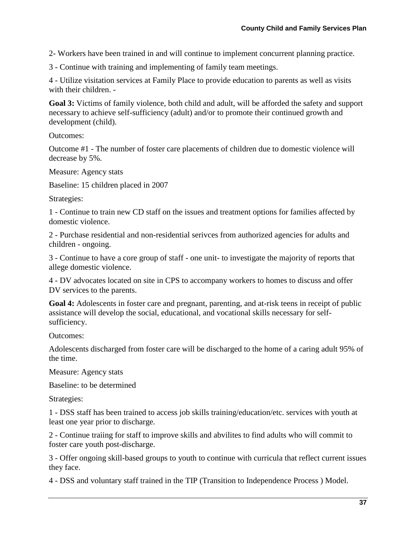2- Workers have been trained in and will continue to implement concurrent planning practice.

3 - Continue with training and implementing of family team meetings.

4 - Utilize visitation services at Family Place to provide education to parents as well as visits with their children. -

**Goal 3:** Victims of family violence, both child and adult, will be afforded the safety and support necessary to achieve self-sufficiency (adult) and/or to promote their continued growth and development (child).

Outcomes:

Outcome #1 - The number of foster care placements of children due to domestic violence will decrease by 5%.

Measure: Agency stats

Baseline: 15 children placed in 2007

Strategies:

1 - Continue to train new CD staff on the issues and treatment options for families affected by domestic violence.

2 - Purchase residential and non-residential serivces from authorized agencies for adults and children - ongoing.

3 - Continue to have a core group of staff - one unit- to investigate the majority of reports that allege domestic violence.

4 - DV advocates located on site in CPS to accompany workers to homes to discuss and offer DV services to the parents.

**Goal 4:** Adolescents in foster care and pregnant, parenting, and at-risk teens in receipt of public assistance will develop the social, educational, and vocational skills necessary for selfsufficiency.

Outcomes:

Adolescents discharged from foster care will be discharged to the home of a caring adult 95% of the time.

Measure: Agency stats

Baseline: to be determined

Strategies:

1 - DSS staff has been trained to access job skills training/education/etc. services with youth at least one year prior to discharge.

2 - Continue traiing for staff to improve skills and abvilites to find adults who will commit to foster care youth post-discharge.

3 - Offer ongoing skill-based groups to youth to continue with curricula that reflect current issues they face.

4 - DSS and voluntary staff trained in the TIP (Transition to Independence Process ) Model.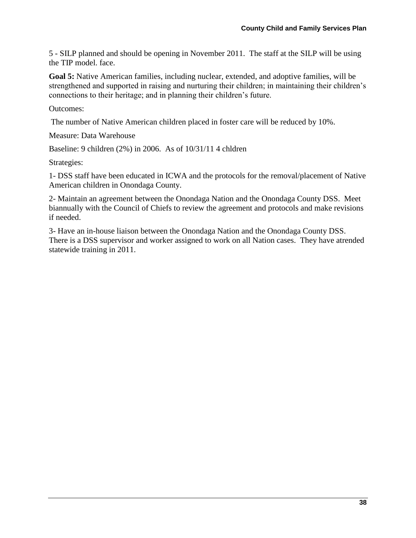5 - SILP planned and should be opening in November 2011. The staff at the SILP will be using the TIP model. face.

**Goal 5:** Native American families, including nuclear, extended, and adoptive families, will be strengthened and supported in raising and nurturing their children; in maintaining their children's connections to their heritage; and in planning their children's future.

Outcomes:

The number of Native American children placed in foster care will be reduced by 10%.

Measure: Data Warehouse

Baseline: 9 children (2%) in 2006. As of 10/31/11 4 chldren

Strategies:

1- DSS staff have been educated in ICWA and the protocols for the removal/placement of Native American children in Onondaga County.

2- Maintain an agreement between the Onondaga Nation and the Onondaga County DSS. Meet biannually with the Council of Chiefs to review the agreement and protocols and make revisions if needed.

3- Have an in-house liaison between the Onondaga Nation and the Onondaga County DSS. There is a DSS supervisor and worker assigned to work on all Nation cases. They have atrended statewide training in 2011.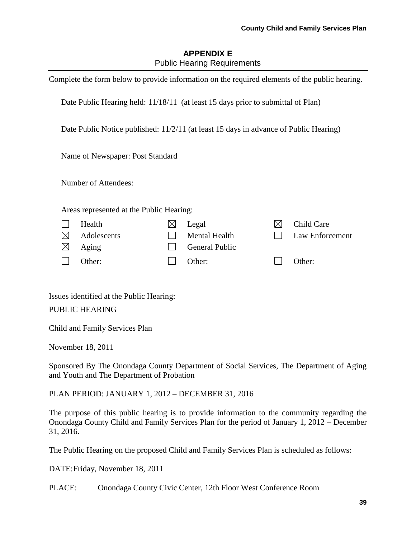# **APPENDIX E** Public Hearing Requirements

|             | Complete the form below to provide information on the required elements of the public hearing. |   |                       |           |                 |
|-------------|------------------------------------------------------------------------------------------------|---|-----------------------|-----------|-----------------|
|             | Date Public Hearing held: 11/18/11 (at least 15 days prior to submittal of Plan)               |   |                       |           |                 |
|             | Date Public Notice published: 11/2/11 (at least 15 days in advance of Public Hearing)          |   |                       |           |                 |
|             | Name of Newspaper: Post Standard                                                               |   |                       |           |                 |
|             | Number of Attendees:                                                                           |   |                       |           |                 |
|             | Areas represented at the Public Hearing:                                                       |   |                       |           |                 |
|             | Health                                                                                         | ⊠ | Legal                 | $\bowtie$ | Child Care      |
| $\boxtimes$ | Adolescents                                                                                    |   | <b>Mental Health</b>  |           | Law Enforcement |
| $\boxtimes$ | Aging                                                                                          |   | <b>General Public</b> |           |                 |
|             | Other:                                                                                         |   | Other:                |           | Other:          |

Issues identified at the Public Hearing:

PUBLIC HEARING

Child and Family Services Plan

November 18, 2011

Sponsored By The Onondaga County Department of Social Services, The Department of Aging and Youth and The Department of Probation

PLAN PERIOD: JANUARY 1, 2012 – DECEMBER 31, 2016

The purpose of this public hearing is to provide information to the community regarding the Onondaga County Child and Family Services Plan for the period of January 1, 2012 – December 31, 2016.

The Public Hearing on the proposed Child and Family Services Plan is scheduled as follows:

DATE:Friday, November 18, 2011

PLACE: Onondaga County Civic Center, 12th Floor West Conference Room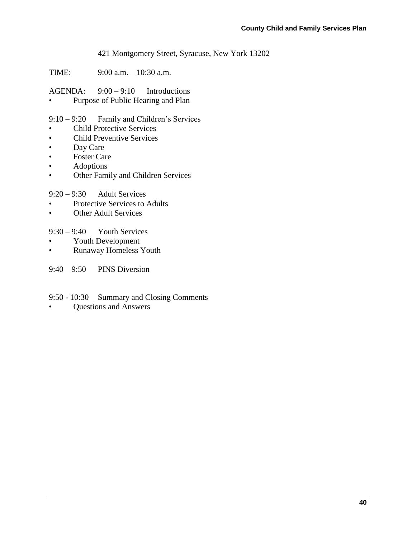421 Montgomery Street, Syracuse, New York 13202

TIME: 9:00 a.m. – 10:30 a.m.

AGENDA: 9:00 – 9:10 Introductions

Purpose of Public Hearing and Plan

9:10 – 9:20 Family and Children's Services

- Child Protective Services
- Child Preventive Services
- Day Care
- Foster Care
- Adoptions
- Other Family and Children Services

9:20 – 9:30 Adult Services

- Protective Services to Adults
- Other Adult Services

 $9:30 - 9:40$  Youth Services

- Youth Development
- Runaway Homeless Youth

9:40 – 9:50 PINS Diversion

- 9:50 10:30 Summary and Closing Comments
- Questions and Answers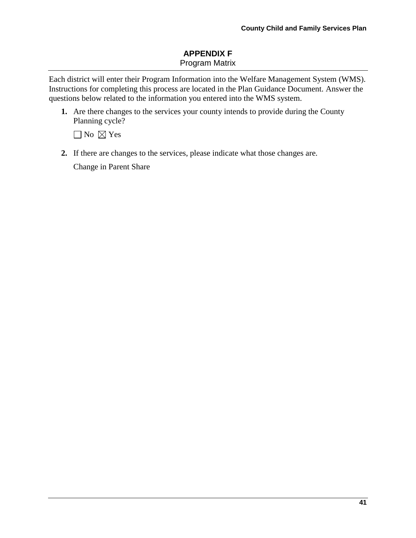# **APPENDIX F** Program Matrix

Each district will enter their Program Information into the Welfare Management System (WMS). Instructions for completing this process are located in the Plan Guidance Document. Answer the questions below related to the information you entered into the WMS system.

**1.** Are there changes to the services your county intends to provide during the County Planning cycle?

 $\Box$  No  $\boxtimes$  Yes

**2.** If there are changes to the services, please indicate what those changes are.

Change in Parent Share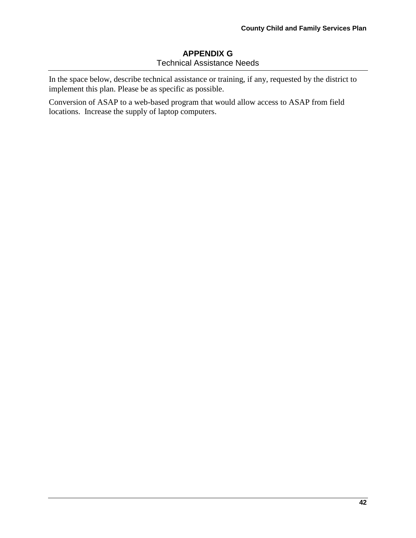# **APPENDIX G** Technical Assistance Needs

In the space below, describe technical assistance or training, if any, requested by the district to implement this plan. Please be as specific as possible.

Conversion of ASAP to a web-based program that would allow access to ASAP from field locations. Increase the supply of laptop computers.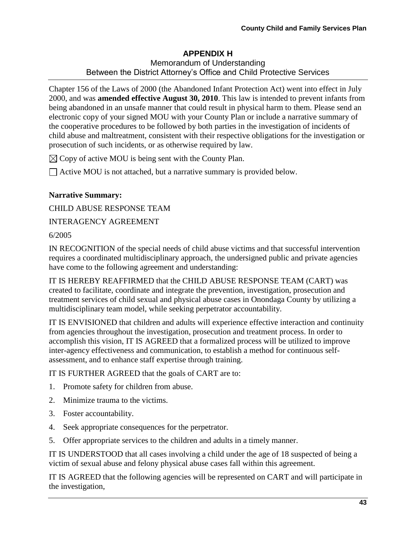### **APPENDIX H** Memorandum of Understanding Between the District Attorney's Office and Child Protective Services

Chapter 156 of the Laws of 2000 (the Abandoned Infant Protection Act) went into effect in July 2000, and was **amended effective August 30, 2010**. This law is intended to prevent infants from being abandoned in an unsafe manner that could result in physical harm to them. Please send an electronic copy of your signed MOU with your County Plan or include a narrative summary of the cooperative procedures to be followed by both parties in the investigation of incidents of child abuse and maltreatment, consistent with their respective obligations for the investigation or prosecution of such incidents, or as otherwise required by law.

 $\boxtimes$  Copy of active MOU is being sent with the County Plan.

 $\Box$  Active MOU is not attached, but a narrative summary is provided below.

## **Narrative Summary:**

CHILD ABUSE RESPONSE TEAM

INTERAGENCY AGREEMENT

## 6/2005

IN RECOGNITION of the special needs of child abuse victims and that successful intervention requires a coordinated multidisciplinary approach, the undersigned public and private agencies have come to the following agreement and understanding:

IT IS HEREBY REAFFIRMED that the CHILD ABUSE RESPONSE TEAM (CART) was created to facilitate, coordinate and integrate the prevention, investigation, prosecution and treatment services of child sexual and physical abuse cases in Onondaga County by utilizing a multidisciplinary team model, while seeking perpetrator accountability.

IT IS ENVISIONED that children and adults will experience effective interaction and continuity from agencies throughout the investigation, prosecution and treatment process. In order to accomplish this vision, IT IS AGREED that a formalized process will be utilized to improve inter-agency effectiveness and communication, to establish a method for continuous selfassessment, and to enhance staff expertise through training.

IT IS FURTHER AGREED that the goals of CART are to:

- 1. Promote safety for children from abuse.
- 2. Minimize trauma to the victims.
- 3. Foster accountability.
- 4. Seek appropriate consequences for the perpetrator.
- 5. Offer appropriate services to the children and adults in a timely manner.

IT IS UNDERSTOOD that all cases involving a child under the age of 18 suspected of being a victim of sexual abuse and felony physical abuse cases fall within this agreement.

IT IS AGREED that the following agencies will be represented on CART and will participate in the investigation,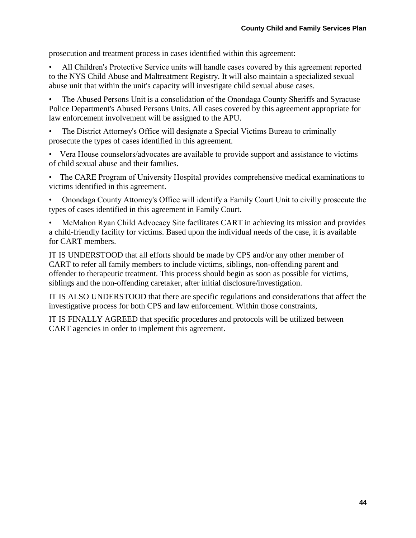prosecution and treatment process in cases identified within this agreement:

• All Children's Protective Service units will handle cases covered by this agreement reported to the NYS Child Abuse and Maltreatment Registry. It will also maintain a specialized sexual abuse unit that within the unit's capacity will investigate child sexual abuse cases.

• The Abused Persons Unit is a consolidation of the Onondaga County Sheriffs and Syracuse Police Department's Abused Persons Units. All cases covered by this agreement appropriate for law enforcement involvement will be assigned to the APU.

• The District Attorney's Office will designate a Special Victims Bureau to criminally prosecute the types of cases identified in this agreement.

• Vera House counselors/advocates are available to provide support and assistance to victims of child sexual abuse and their families.

• The CARE Program of University Hospital provides comprehensive medical examinations to victims identified in this agreement.

• Onondaga County Attorney's Office will identify a Family Court Unit to civilly prosecute the types of cases identified in this agreement in Family Court.

• McMahon Ryan Child Advocacy Site facilitates CART in achieving its mission and provides a child-friendly facility for victims. Based upon the individual needs of the case, it is available for CART members.

IT IS UNDERSTOOD that all efforts should be made by CPS and/or any other member of CART to refer all family members to include victims, siblings, non-offending parent and offender to therapeutic treatment. This process should begin as soon as possible for victims, siblings and the non-offending caretaker, after initial disclosure/investigation.

IT IS ALSO UNDERSTOOD that there are specific regulations and considerations that affect the investigative process for both CPS and law enforcement. Within those constraints,

IT IS FINALLY AGREED that specific procedures and protocols will be utilized between CART agencies in order to implement this agreement.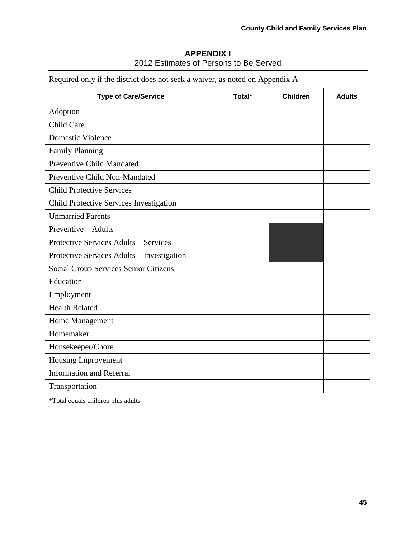| <b>APPENDIX I</b>                      |  |
|----------------------------------------|--|
| 2012 Estimates of Persons to Be Served |  |

| <b>Type of Care/Service</b>                  | Total* | <b>Children</b> | <b>Adults</b> |
|----------------------------------------------|--------|-----------------|---------------|
| Adoption                                     |        |                 |               |
| Child Care                                   |        |                 |               |
| <b>Domestic Violence</b>                     |        |                 |               |
| <b>Family Planning</b>                       |        |                 |               |
| <b>Preventive Child Mandated</b>             |        |                 |               |
| Preventive Child Non-Mandated                |        |                 |               |
| <b>Child Protective Services</b>             |        |                 |               |
| Child Protective Services Investigation      |        |                 |               |
| <b>Unmarried Parents</b>                     |        |                 |               |
| Preventive - Adults                          |        |                 |               |
| Protective Services Adults - Services        |        |                 |               |
| Protective Services Adults - Investigation   |        |                 |               |
| <b>Social Group Services Senior Citizens</b> |        |                 |               |
| Education                                    |        |                 |               |
| Employment                                   |        |                 |               |
| <b>Health Related</b>                        |        |                 |               |
| Home Management                              |        |                 |               |
| Homemaker                                    |        |                 |               |
| Housekeeper/Chore                            |        |                 |               |
| Housing Improvement                          |        |                 |               |
| <b>Information and Referral</b>              |        |                 |               |
| Transportation                               |        |                 |               |

Required only if the district does not seek a waiver, as noted on Appendix A

\*Total equals children plus adults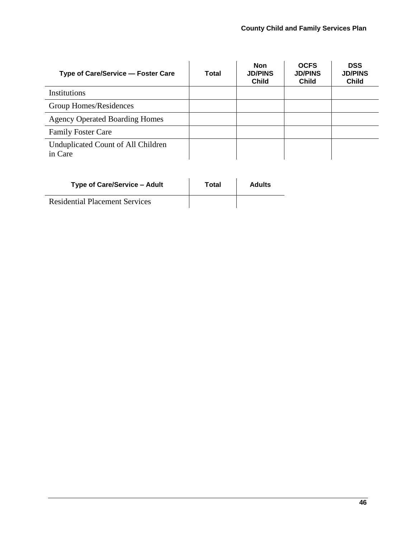| Type of Care/Service - Foster Care            | Total | <b>Non</b><br><b>JD/PINS</b><br><b>Child</b> | <b>OCFS</b><br><b>JD/PINS</b><br><b>Child</b> | <b>DSS</b><br><b>JD/PINS</b><br><b>Child</b> |
|-----------------------------------------------|-------|----------------------------------------------|-----------------------------------------------|----------------------------------------------|
| Institutions                                  |       |                                              |                                               |                                              |
| Group Homes/Residences                        |       |                                              |                                               |                                              |
| <b>Agency Operated Boarding Homes</b>         |       |                                              |                                               |                                              |
| <b>Family Foster Care</b>                     |       |                                              |                                               |                                              |
| Unduplicated Count of All Children<br>in Care |       |                                              |                                               |                                              |

| Type of Care/Service – Adult          | Total | <b>Adults</b> |
|---------------------------------------|-------|---------------|
| <b>Residential Placement Services</b> |       |               |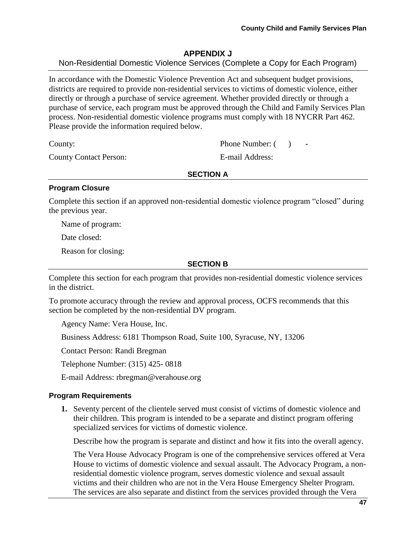## **APPENDIX J**

Non-Residential Domestic Violence Services (Complete a Copy for Each Program)

In accordance with the Domestic Violence Prevention Act and subsequent budget provisions, districts are required to provide non-residential services to victims of domestic violence, either directly or through a purchase of service agreement. Whether provided directly or through a purchase of service, each program must be approved through the Child and Family Services Plan process. Non-residential domestic violence programs must comply with 18 NYCRR Part 462. Please provide the information required below.

County Contact Person: E-mail Address:

County: Phone Number: ( )

**SECTION A**

#### **Program Closure**

Complete this section if an approved non-residential domestic violence program "closed" during the previous year.

Name of program:

Date closed:

Reason for closing:

#### **SECTION B**

Complete this section for each program that provides non-residential domestic violence services in the district.

To promote accuracy through the review and approval process, OCFS recommends that this section be completed by the non-residential DV program.

Agency Name: Vera House, Inc.

Business Address: 6181 Thompson Road, Suite 100, Syracuse, NY, 13206

Contact Person: Randi Bregman

Telephone Number: (315) 425- 0818

E-mail Address: rbregman@verahouse.org

#### **Program Requirements**

**1.** Seventy percent of the clientele served must consist of victims of domestic violence and their children. This program is intended to be a separate and distinct program offering specialized services for victims of domestic violence.

Describe how the program is separate and distinct and how it fits into the overall agency.

The Vera House Advocacy Program is one of the comprehensive services offered at Vera House to victims of domestic violence and sexual assault. The Advocacy Program, a nonresidential domestic violence program, serves domestic violence and sexual assault victims and their children who are not in the Vera House Emergency Shelter Program. The services are also separate and distinct from the services provided through the Vera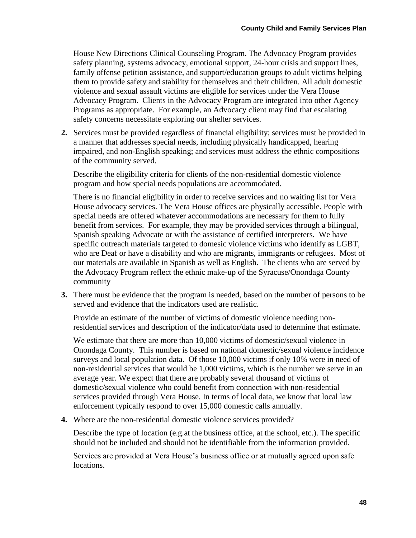House New Directions Clinical Counseling Program. The Advocacy Program provides safety planning, systems advocacy, emotional support, 24-hour crisis and support lines, family offense petition assistance, and support/education groups to adult victims helping them to provide safety and stability for themselves and their children. All adult domestic violence and sexual assault victims are eligible for services under the Vera House Advocacy Program. Clients in the Advocacy Program are integrated into other Agency Programs as appropriate. For example, an Advocacy client may find that escalating safety concerns necessitate exploring our shelter services.

**2.** Services must be provided regardless of financial eligibility; services must be provided in a manner that addresses special needs, including physically handicapped, hearing impaired, and non-English speaking; and services must address the ethnic compositions of the community served.

Describe the eligibility criteria for clients of the non-residential domestic violence program and how special needs populations are accommodated.

There is no financial eligibility in order to receive services and no waiting list for Vera House advocacy services. The Vera House offices are physically accessible. People with special needs are offered whatever accommodations are necessary for them to fully benefit from services. For example, they may be provided services through a bilingual, Spanish speaking Advocate or with the assistance of certified interpreters. We have specific outreach materials targeted to domesic violence victims who identify as LGBT, who are Deaf or have a disability and who are migrants, immigrants or refugees. Most of our materials are available in Spanish as well as English. The clients who are served by the Advocacy Program reflect the ethnic make-up of the Syracuse/Onondaga County community

**3.** There must be evidence that the program is needed, based on the number of persons to be served and evidence that the indicators used are realistic.

Provide an estimate of the number of victims of domestic violence needing nonresidential services and description of the indicator/data used to determine that estimate.

We estimate that there are more than 10,000 victims of domestic/sexual violence in Onondaga County. This number is based on national domestic/sexual violence incidence surveys and local population data. Of those 10,000 victims if only 10% were in need of non-residential services that would be 1,000 victims, which is the number we serve in an average year. We expect that there are probably several thousand of victims of domestic/sexual violence who could benefit from connection with non-residential services provided through Vera House. In terms of local data, we know that local law enforcement typically respond to over 15,000 domestic calls annually.

**4.** Where are the non-residential domestic violence services provided?

Describe the type of location (e.g.at the business office, at the school, etc.). The specific should not be included and should not be identifiable from the information provided.

Services are provided at Vera House's business office or at mutually agreed upon safe locations.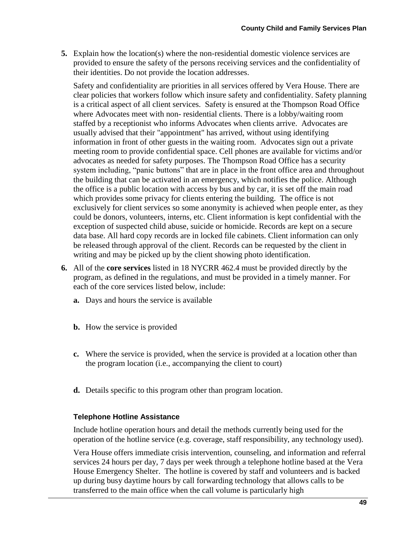**5.** Explain how the location(s) where the non-residential domestic violence services are provided to ensure the safety of the persons receiving services and the confidentiality of their identities. Do not provide the location addresses.

Safety and confidentiality are priorities in all services offered by Vera House. There are clear policies that workers follow which insure safety and confidentiality. Safety planning is a critical aspect of all client services. Safety is ensured at the Thompson Road Office where Advocates meet with non-residential clients. There is a lobby/waiting room staffed by a receptionist who informs Advocates when clients arrive. Advocates are usually advised that their "appointment" has arrived, without using identifying information in front of other guests in the waiting room. Advocates sign out a private meeting room to provide confidential space. Cell phones are available for victims and/or advocates as needed for safety purposes. The Thompson Road Office has a security system including, "panic buttons" that are in place in the front office area and throughout the building that can be activated in an emergency, which notifies the police. Although the office is a public location with access by bus and by car, it is set off the main road which provides some privacy for clients entering the building. The office is not exclusively for client services so some anonymity is achieved when people enter, as they could be donors, volunteers, interns, etc. Client information is kept confidential with the exception of suspected child abuse, suicide or homicide. Records are kept on a secure data base. All hard copy records are in locked file cabinets. Client information can only be released through approval of the client. Records can be requested by the client in writing and may be picked up by the client showing photo identification.

- **6.** All of the **core services** listed in 18 NYCRR 462.4 must be provided directly by the program, as defined in the regulations, and must be provided in a timely manner. For each of the core services listed below, include:
	- **a.** Days and hours the service is available
	- **b.** How the service is provided
	- **c.** Where the service is provided, when the service is provided at a location other than the program location (i.e., accompanying the client to court)
	- **d.** Details specific to this program other than program location.

#### **Telephone Hotline Assistance**

Include hotline operation hours and detail the methods currently being used for the operation of the hotline service (e.g. coverage, staff responsibility, any technology used).

Vera House offers immediate crisis intervention, counseling, and information and referral services 24 hours per day, 7 days per week through a telephone hotline based at the Vera House Emergency Shelter. The hotline is covered by staff and volunteers and is backed up during busy daytime hours by call forwarding technology that allows calls to be transferred to the main office when the call volume is particularly high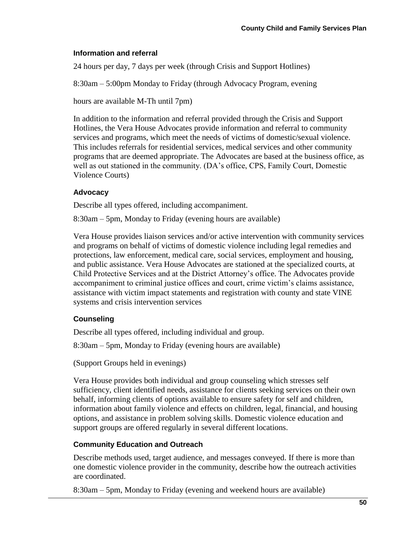#### **Information and referral**

24 hours per day, 7 days per week (through Crisis and Support Hotlines)

8:30am – 5:00pm Monday to Friday (through Advocacy Program, evening

hours are available M-Th until 7pm)

In addition to the information and referral provided through the Crisis and Support Hotlines, the Vera House Advocates provide information and referral to community services and programs, which meet the needs of victims of domestic/sexual violence. This includes referrals for residential services, medical services and other community programs that are deemed appropriate. The Advocates are based at the business office, as well as out stationed in the community. (DA's office, CPS, Family Court, Domestic Violence Courts)

### **Advocacy**

Describe all types offered, including accompaniment.

8:30am – 5pm, Monday to Friday (evening hours are available)

Vera House provides liaison services and/or active intervention with community services and programs on behalf of victims of domestic violence including legal remedies and protections, law enforcement, medical care, social services, employment and housing, and public assistance. Vera House Advocates are stationed at the specialized courts, at Child Protective Services and at the District Attorney's office. The Advocates provide accompaniment to criminal justice offices and court, crime victim's claims assistance, assistance with victim impact statements and registration with county and state VINE systems and crisis intervention services

### **Counseling**

Describe all types offered, including individual and group.

8:30am – 5pm, Monday to Friday (evening hours are available)

(Support Groups held in evenings)

Vera House provides both individual and group counseling which stresses self sufficiency, client identified needs, assistance for clients seeking services on their own behalf, informing clients of options available to ensure safety for self and children, information about family violence and effects on children, legal, financial, and housing options, and assistance in problem solving skills. Domestic violence education and support groups are offered regularly in several different locations.

### **Community Education and Outreach**

Describe methods used, target audience, and messages conveyed. If there is more than one domestic violence provider in the community, describe how the outreach activities are coordinated.

8:30am – 5pm, Monday to Friday (evening and weekend hours are available)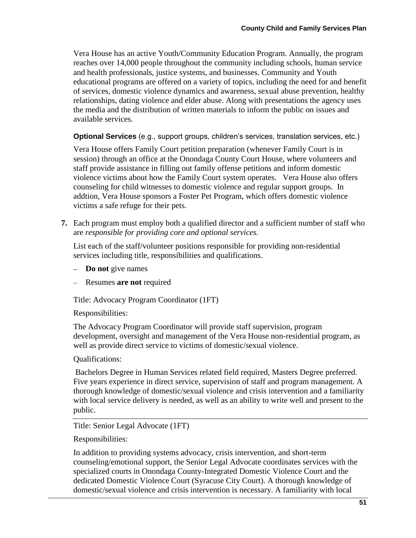Vera House has an active Youth/Community Education Program. Annually, the program reaches over 14,000 people throughout the community including schools, human service and health professionals, justice systems, and businesses. Community and Youth educational programs are offered on a variety of topics, including the need for and benefit of services, domestic violence dynamics and awareness, sexual abuse prevention, healthy relationships, dating violence and elder abuse. Along with presentations the agency uses the media and the distribution of written materials to inform the public on issues and available services.

**Optional Services** (e.g., support groups, children's services, translation services, etc.)

Vera House offers Family Court petition preparation (whenever Family Court is in session) through an office at the Onondaga County Court House, where volunteers and staff provide assistance in filling out family offense petitions and inform domestic violence victims about how the Family Court system operates. Vera House also offers counseling for child witnesses to domestic violence and regular support groups. In addtion, Vera House sponsors a Foster Pet Program, which offers domestic violence victims a safe refuge for their pets.

**7.** Each program must employ both a qualified director and a sufficient number of staff who are *responsible for providing core and optional services.*

List each of the staff/volunteer positions responsible for providing non-residential services including title, responsibilities and qualifications.

- **Do not** give names
- Resumes **are not** required

Title: Advocacy Program Coordinator (1FT)

Responsibilities:

The Advocacy Program Coordinator will provide staff supervision, program development, oversight and management of the Vera House non-residential program, as well as provide direct service to victims of domestic/sexual violence.

Qualifications:

Bachelors Degree in Human Services related field required, Masters Degree preferred. Five years experience in direct service, supervision of staff and program management. A thorough knowledge of domestic/sexual violence and crisis intervention and a familiarity with local service delivery is needed, as well as an ability to write well and present to the public.

Title: Senior Legal Advocate (1FT)

Responsibilities:

In addition to providing systems advocacy, crisis intervention, and short-term counseling/emotional support, the Senior Legal Advocate coordinates services with the specialized courts in Onondaga County-Integrated Domestic Violence Court and the dedicated Domestic Violence Court (Syracuse City Court). A thorough knowledge of domestic/sexual violence and crisis intervention is necessary. A familiarity with local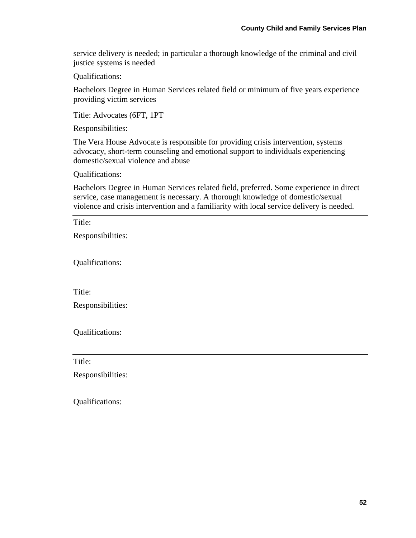service delivery is needed; in particular a thorough knowledge of the criminal and civil justice systems is needed

Qualifications:

Bachelors Degree in Human Services related field or minimum of five years experience providing victim services

Title: Advocates (6FT, 1PT

Responsibilities:

The Vera House Advocate is responsible for providing crisis intervention, systems advocacy, short-term counseling and emotional support to individuals experiencing domestic/sexual violence and abuse

Qualifications:

Bachelors Degree in Human Services related field, preferred. Some experience in direct service, case management is necessary. A thorough knowledge of domestic/sexual violence and crisis intervention and a familiarity with local service delivery is needed.

Title:

Responsibilities:

Qualifications:

Title:

Responsibilities:

Qualifications:

Title:

Responsibilities:

Qualifications: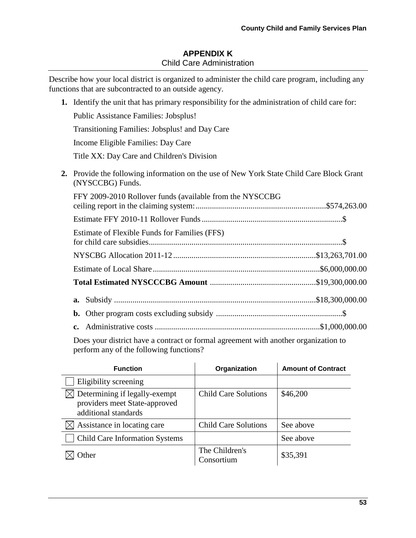# **APPENDIX K** Child Care Administration

Describe how your local district is organized to administer the child care program, including any functions that are subcontracted to an outside agency.

|    | 1. Identify the unit that has primary responsibility for the administration of child care for:            |
|----|-----------------------------------------------------------------------------------------------------------|
|    | Public Assistance Families: Jobsplus!                                                                     |
|    | Transitioning Families: Jobsplus! and Day Care                                                            |
|    | Income Eligible Families: Day Care                                                                        |
|    | Title XX: Day Care and Children's Division                                                                |
| 2. | Provide the following information on the use of New York State Child Care Block Grant<br>(NYSCCBG) Funds. |
|    | FFY 2009-2010 Rollover funds (available from the NYSCCBG                                                  |
|    |                                                                                                           |
|    | Estimate of Flexible Funds for Families (FFS)                                                             |
|    |                                                                                                           |
|    |                                                                                                           |
|    |                                                                                                           |
|    |                                                                                                           |
|    | b.                                                                                                        |
|    | c.                                                                                                        |
|    |                                                                                                           |

Does your district have a contract or formal agreement with another organization to perform any of the following functions?

| <b>Function</b>                                                                        | Organization                 | <b>Amount of Contract</b> |
|----------------------------------------------------------------------------------------|------------------------------|---------------------------|
| Eligibility screening                                                                  |                              |                           |
| Determining if legally-exempt<br>providers meet State-approved<br>additional standards | <b>Child Care Solutions</b>  | \$46,200                  |
| Assistance in locating care                                                            | <b>Child Care Solutions</b>  | See above                 |
| <b>Child Care Information Systems</b>                                                  |                              | See above                 |
| <b>Other</b>                                                                           | The Children's<br>Consortium | \$35,391                  |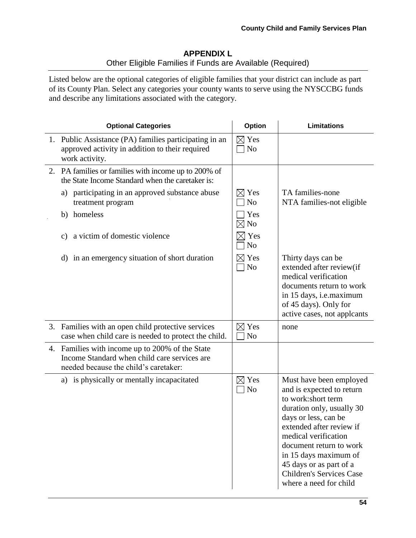# **APPENDIX L** Other Eligible Families if Funds are Available (Required)

Listed below are the optional categories of eligible families that your district can include as part of its County Plan. Select any categories your county wants to serve using the NYSCCBG funds and describe any limitations associated with the category.

| <b>Optional Categories</b>                                                                                                               | Option                            | <b>Limitations</b>                                                                                                                                                                                                                                                                                                              |
|------------------------------------------------------------------------------------------------------------------------------------------|-----------------------------------|---------------------------------------------------------------------------------------------------------------------------------------------------------------------------------------------------------------------------------------------------------------------------------------------------------------------------------|
| 1. Public Assistance (PA) families participating in an<br>approved activity in addition to their required<br>work activity.              | $\boxtimes$ Yes<br>N <sub>o</sub> |                                                                                                                                                                                                                                                                                                                                 |
| 2. PA families or families with income up to 200% of<br>the State Income Standard when the caretaker is:                                 |                                   |                                                                                                                                                                                                                                                                                                                                 |
| a) participating in an approved substance abuse<br>treatment program                                                                     | $\times$ Yes<br>N <sub>o</sub>    | TA families-none<br>NTA families-not eligible                                                                                                                                                                                                                                                                                   |
| homeless<br>b)                                                                                                                           | Yes<br>$\boxtimes$ No             |                                                                                                                                                                                                                                                                                                                                 |
| a victim of domestic violence<br>c)                                                                                                      | $\times$ Yes<br>N <sub>o</sub>    |                                                                                                                                                                                                                                                                                                                                 |
| in an emergency situation of short duration<br>$\rm d)$                                                                                  | $\boxtimes$ Yes<br>N <sub>o</sub> | Thirty days can be<br>extended after review(if<br>medical verification<br>documents return to work<br>in 15 days, i.e.maximum<br>of 45 days). Only for<br>active cases, not applcants                                                                                                                                           |
| 3. Families with an open child protective services<br>case when child care is needed to protect the child.                               | $\times$ Yes<br>N <sub>o</sub>    | none                                                                                                                                                                                                                                                                                                                            |
| 4. Families with income up to 200% of the State<br>Income Standard when child care services are<br>needed because the child's caretaker: |                                   |                                                                                                                                                                                                                                                                                                                                 |
| a) is physically or mentally incapacitated                                                                                               | $\boxtimes$ Yes<br>N <sub>o</sub> | Must have been employed<br>and is expected to return<br>to work:short term<br>duration only, usually 30<br>days or less, can be<br>extended after review if<br>medical verification<br>document return to work<br>in 15 days maximum of<br>45 days or as part of a<br><b>Children's Services Case</b><br>where a need for child |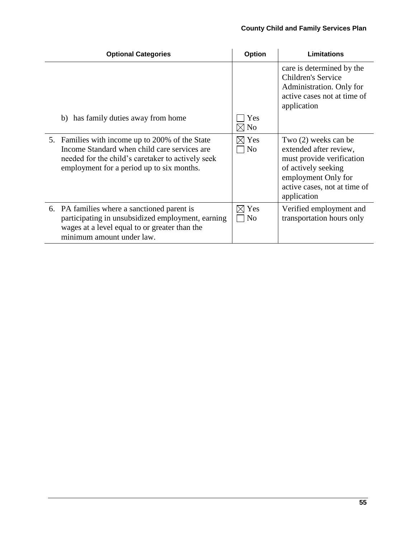| <b>Optional Categories</b>                                                                                                                                                                        | Option                       | Limitations                                                                                                                                                              |
|---------------------------------------------------------------------------------------------------------------------------------------------------------------------------------------------------|------------------------------|--------------------------------------------------------------------------------------------------------------------------------------------------------------------------|
|                                                                                                                                                                                                   |                              | care is determined by the<br>Children's Service<br>Administration. Only for<br>active cases not at time of<br>application                                                |
| b) has family duties away from home                                                                                                                                                               | Yes<br>$\boxtimes$ No        |                                                                                                                                                                          |
| 5. Families with income up to 200% of the State<br>Income Standard when child care services are<br>needed for the child's caretaker to actively seek<br>employment for a period up to six months. | $\boxtimes$ Yes<br>$\Box$ No | Two (2) weeks can be<br>extended after review,<br>must provide verification<br>of actively seeking<br>employment Only for<br>active cases, not at time of<br>application |
| 6. PA families where a sanctioned parent is<br>participating in unsubsidized employment, earning<br>wages at a level equal to or greater than the<br>minimum amount under law.                    | $\boxtimes$ Yes<br>$\Box$ No | Verified employment and<br>transportation hours only                                                                                                                     |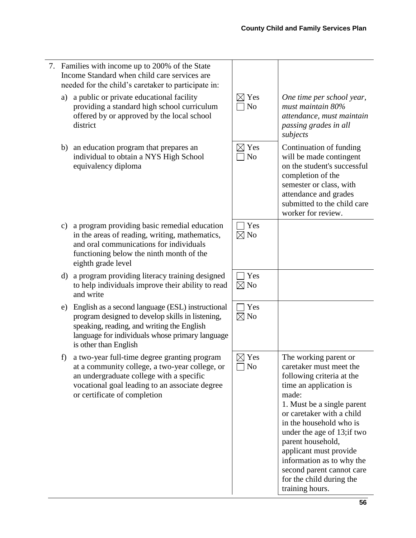7. Families with income up to 200% of the State Income Standard when child care services are needed for the child's caretaker to participate in: a) a public or private educational facility providing a standard high school curriculum offered by or approved by the local school district  $\boxtimes$  Yes  $\Box$  No *One time per school year, must maintain 80% attendance, must maintain passing grades in all subjects* b) an education program that prepares an individual to obtain a NYS High School equivalency diploma  $\boxtimes$  Yes  $\Box$  No Continuation of funding will be made contingent on the student's successful completion of the semester or class, with attendance and grades submitted to the child care worker for review. c) a program providing basic remedial education in the areas of reading, writing, mathematics, and oral communications for individuals functioning below the ninth month of the eighth grade level  $\Box$  Yes  $\boxtimes$  No d) a program providing literacy training designed to help individuals improve their ability to read and write Yes  $\nabla$  No e) English as a second language (ESL) instructional program designed to develop skills in listening, speaking, reading, and writing the English language for individuals whose primary language is other than English  $\Box$  Yes  $\boxtimes$  No f) a two-year full-time degree granting program at a community college, a two-year college, or an undergraduate college with a specific vocational goal leading to an associate degree or certificate of completion  $\boxtimes$  Yes  $\Box$  No The working parent or caretaker must meet the following criteria at the time an application is made: 1. Must be a single parent or caretaker with a child in the household who is under the age of 13;if two parent household, applicant must provide information as to why the second parent cannot care for the child during the training hours.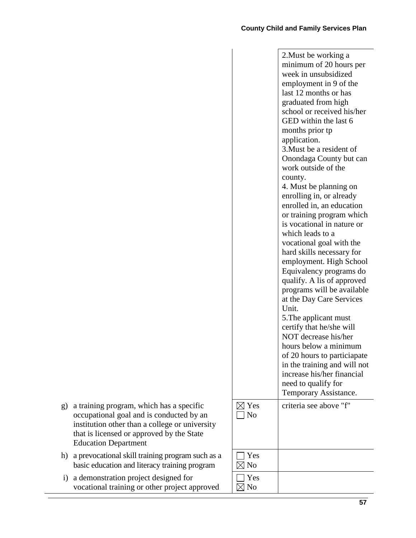|                | 2. Must be working a                                    |
|----------------|---------------------------------------------------------|
|                | minimum of 20 hours per                                 |
|                | week in unsubsidized                                    |
|                | employment in 9 of the                                  |
|                | last 12 months or has                                   |
|                | graduated from high                                     |
|                | school or received his/her                              |
|                | GED within the last 6                                   |
|                | months prior tp                                         |
|                | application.                                            |
|                | 3. Must be a resident of                                |
|                | Onondaga County but can                                 |
|                | work outside of the                                     |
|                | county.                                                 |
|                | 4. Must be planning on                                  |
|                | enrolling in, or already                                |
|                | enrolled in, an education                               |
|                |                                                         |
|                | or training program which<br>is vocational in nature or |
|                | which leads to a                                        |
|                |                                                         |
|                | vocational goal with the                                |
|                | hard skills necessary for                               |
|                | employment. High School                                 |
|                | Equivalency programs do                                 |
|                | qualify. A lis of approved                              |
|                | programs will be available                              |
|                | at the Day Care Services                                |
|                | Unit.                                                   |
|                | 5. The applicant must                                   |
|                | certify that he/she will                                |
|                | NOT decrease his/her                                    |
|                | hours below a minimum                                   |
|                | of 20 hours to particiapate                             |
|                | in the training and will not                            |
|                | increase his/her financial                              |
|                | need to qualify for                                     |
|                | Temporary Assistance.                                   |
| Yes            | criteria see above "f"                                  |
| N <sub>o</sub> |                                                         |
|                |                                                         |
|                |                                                         |
|                |                                                         |
|                |                                                         |
| Yes            |                                                         |
| N <sub>o</sub> |                                                         |
| Yes            |                                                         |
| $\boxtimes$ No |                                                         |

- g) a training program, which has a specific occupational goal and is conducted by an institution other than a college or university that is licensed or approved by the State Education Department
- h) a prevocational skill training program such as a basic education and literacy training program
- i) a demonstration project designed for vocational training or other project approved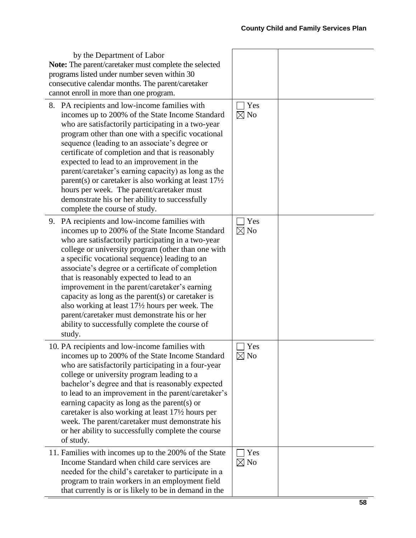| by the Department of Labor<br>Note: The parent/caretaker must complete the selected<br>programs listed under number seven within 30<br>consecutive calendar months. The parent/caretaker<br>cannot enroll in more than one program.                                                                                                                                                                                                                                                                                                                                                                                                     |                       |  |
|-----------------------------------------------------------------------------------------------------------------------------------------------------------------------------------------------------------------------------------------------------------------------------------------------------------------------------------------------------------------------------------------------------------------------------------------------------------------------------------------------------------------------------------------------------------------------------------------------------------------------------------------|-----------------------|--|
| 8. PA recipients and low-income families with<br>incomes up to 200% of the State Income Standard<br>who are satisfactorily participating in a two-year<br>program other than one with a specific vocational<br>sequence (leading to an associate's degree or<br>certificate of completion and that is reasonably<br>expected to lead to an improvement in the<br>parent/caretaker's earning capacity) as long as the<br>parent(s) or caretaker is also working at least $17\frac{1}{2}$<br>hours per week. The parent/caretaker must<br>demonstrate his or her ability to successfully<br>complete the course of study.                 | Yes<br>$\boxtimes$ No |  |
| 9. PA recipients and low-income families with<br>incomes up to 200% of the State Income Standard<br>who are satisfactorily participating in a two-year<br>college or university program (other than one with<br>a specific vocational sequence) leading to an<br>associate's degree or a certificate of completion<br>that is reasonably expected to lead to an<br>improvement in the parent/caretaker's earning<br>capacity as long as the parent $(s)$ or caretaker is<br>also working at least 171/2 hours per week. The<br>parent/caretaker must demonstrate his or her<br>ability to successfully complete the course of<br>study. | Yes<br>$\boxtimes$ No |  |
| 10. PA recipients and low-income families with<br>incomes up to 200% of the State Income Standard<br>who are satisfactorily participating in a four-year<br>college or university program leading to a<br>bachelor's degree and that is reasonably expected<br>to lead to an improvement in the parent/caretaker's<br>earning capacity as long as the parent(s) or<br>caretaker is also working at least 171/2 hours per<br>week. The parent/caretaker must demonstrate his<br>or her ability to successfully complete the course<br>of study.                                                                                          | Yes<br>$\boxtimes$ No |  |
| 11. Families with incomes up to the 200% of the State<br>Income Standard when child care services are<br>needed for the child's caretaker to participate in a<br>program to train workers in an employment field<br>that currently is or is likely to be in demand in the                                                                                                                                                                                                                                                                                                                                                               | Yes<br>$\boxtimes$ No |  |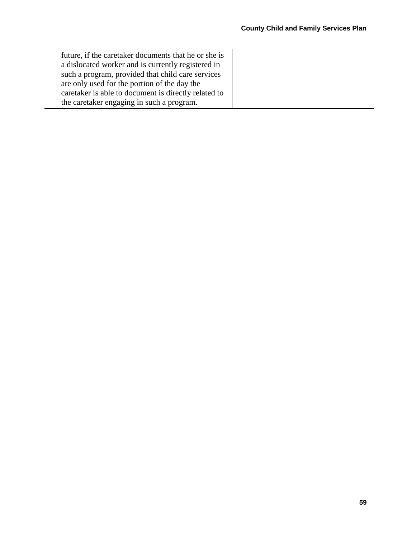| are only used for the portion of the day the<br>caretaker is able to document is directly related to<br>the caretaker engaging in such a program. | future, if the caretaker documents that he or she is<br>a dislocated worker and is currently registered in<br>such a program, provided that child care services |  |  |
|---------------------------------------------------------------------------------------------------------------------------------------------------|-----------------------------------------------------------------------------------------------------------------------------------------------------------------|--|--|
|---------------------------------------------------------------------------------------------------------------------------------------------------|-----------------------------------------------------------------------------------------------------------------------------------------------------------------|--|--|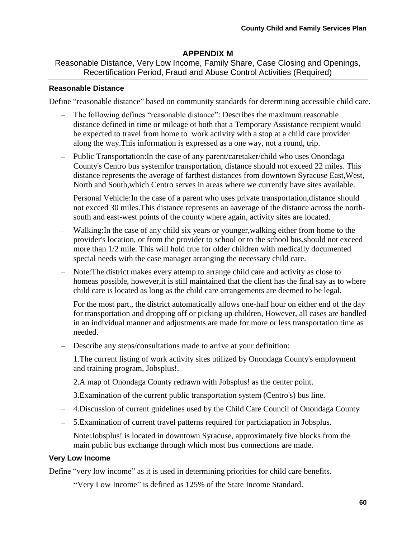# **APPENDIX M**

Reasonable Distance, Very Low Income, Family Share, Case Closing and Openings, Recertification Period, Fraud and Abuse Control Activities (Required)

#### **Reasonable Distance**

Define "reasonable distance" based on community standards for determining accessible child care.

- The following defines "reasonable distance": Describes the maximum reasonable distance defined in time or mileage ot both that a Temporary Assistance recipient would be expected to travel from home to work activity with a stop at a child care provider along the way.This information is expressed as a one way, not a round, trip.
- Public Transportation:In the case of any parent/caretaker/child who uses Onondaga County's Centro bus systemfor transportation, distance should not exceed 22 miles. This distance represents the average of farthest distances from downtown Syracuse East,West, North and South,which Centro serves in areas where we currently have sites available.
- Personal Vehicle: In the case of a parent who uses private transportation, distance should not exceed 30 miles.This distance represents an aaverage of the distance across the northsouth and east-west points of the county where again, activity sites are located.
- $\equiv$ Walking:In the case of any child six years or younger,walking either from home to the provider's location, or from the provider to school or to the school bus,should not exceed more than 1/2 mile. This will hold true for older children with medically documented special needs with the case manager arranging the necessary child care.
- Note:The district makes every attemp to arrange child care and activity as close to homeas possible, however,it is still maintained that the client has the final say as to where child care is located as long as the child care arrangements are deemed to be legal.

For the most part., the district automatically allows one-half hour on either end of the day for transportation and dropping off or picking up children, However, all cases are handled in an individual manner and adjustments are made for more or less transportation time as needed.

- Describe any steps/consultations made to arrive at your definition:
- 1.The current listing of work activity sites utilized by Onondaga County's employment and training program, Jobsplus!.
- 2.A map of Onondaga County redrawn with Jobsplus! as the center point.
- 3.Examination of the current public transportation system (Centro's) bus line.
- 4.Discussion of current guidelines used by the Child Care Council of Onondaga County
- 5.Examination of current travel patterns required for particiapation in Jobsplus.

Note:Jobsplus! is located in downtown Syracuse, approximately five blocks from the main public bus exchange through which most bus connections are made.

#### **Very Low Income**

Define "very low income" as it is used in determining priorities for child care benefits.

**"**Very Low Income" is defined as 125% of the State Income Standard.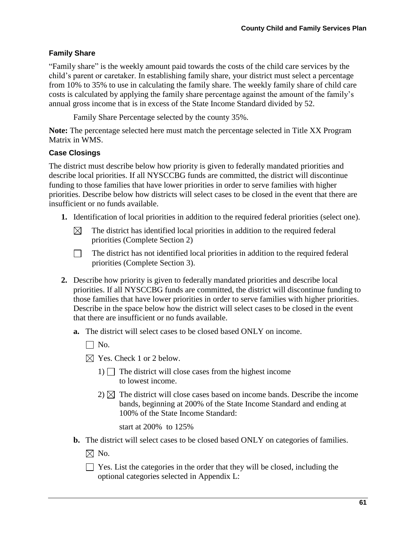### **Family Share**

"Family share" is the weekly amount paid towards the costs of the child care services by the child's parent or caretaker. In establishing family share, your district must select a percentage from 10% to 35% to use in calculating the family share. The weekly family share of child care costs is calculated by applying the family share percentage against the amount of the family's annual gross income that is in excess of the State Income Standard divided by 52.

Family Share Percentage selected by the county 35%.

**Note:** The percentage selected here must match the percentage selected in Title XX Program Matrix in WMS.

### **Case Closings**

The district must describe below how priority is given to federally mandated priorities and describe local priorities. If all NYSCCBG funds are committed, the district will discontinue funding to those families that have lower priorities in order to serve families with higher priorities. Describe below how districts will select cases to be closed in the event that there are insufficient or no funds available.

- **1.** Identification of local priorities in addition to the required federal priorities (select one).
	- $\boxtimes$ The district has identified local priorities in addition to the required federal priorities (Complete Section 2)
	- $\Box$ The district has not identified local priorities in addition to the required federal priorities (Complete Section 3).
- **2.** Describe how priority is given to federally mandated priorities and describe local priorities. If all NYSCCBG funds are committed, the district will discontinue funding to those families that have lower priorities in order to serve families with higher priorities. Describe in the space below how the district will select cases to be closed in the event that there are insufficient or no funds available.
	- **a.** The district will select cases to be closed based ONLY on income.
		- $\Box$  No.
		- $\boxtimes$  Yes. Check 1 or 2 below.
			- 1)  $\Box$  The district will close cases from the highest income to lowest income.
			- $2)$   $\boxtimes$  The district will close cases based on income bands. Describe the income bands, beginning at 200% of the State Income Standard and ending at 100% of the State Income Standard:

start at 200% to 125%

- **b.** The district will select cases to be closed based ONLY on categories of families.
	- $\boxtimes$  No.
	- $\Box$  Yes. List the categories in the order that they will be closed, including the optional categories selected in Appendix L: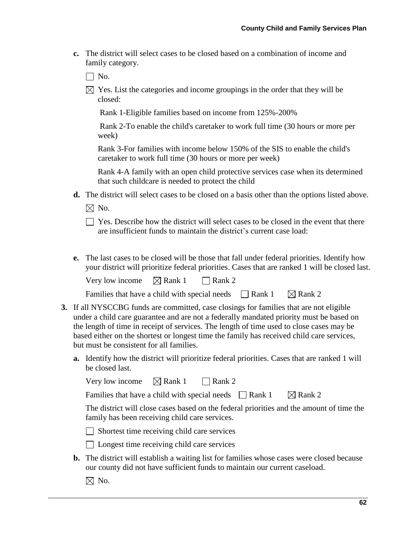**c.** The district will select cases to be closed based on a combination of income and family category.

 $\Box$  No.

 $\boxtimes$  Yes. List the categories and income groupings in the order that they will be closed:

Rank 1-Eligible families based on income from 125%-200%

Rank 2-To enable the child's caretaker to work full time (30 hours or more per week)

Rank 3-For families with income below 150% of the SIS to enable the child's caretaker to work full time (30 hours or more per week)

Rank 4-A family with an open child protective services case when its determined that such childcare is needed to protect the child

**d.** The district will select cases to be closed on a basis other than the options listed above.

 $\boxtimes$  No.

 $\Box$  Yes. Describe how the district will select cases to be closed in the event that there are insufficient funds to maintain the district's current case load:

**e.** The last cases to be closed will be those that fall under federal priorities. Identify how your district will prioritize federal priorities. Cases that are ranked 1 will be closed last.

Very low income  $\boxtimes$  Rank 1 Rank 2

| Families that have a child with special needs | $\Box$ Rank 1 | $\boxtimes$ Rank 2 |
|-----------------------------------------------|---------------|--------------------|
|-----------------------------------------------|---------------|--------------------|

- **3.** If all NYSCCBG funds are committed, case closings for families that are not eligible under a child care guarantee and are not a federally mandated priority must be based on the length of time in receipt of services. The length of time used to close cases may be based either on the shortest or longest time the family has received child care services, but must be consistent for all families.
	- **a.** Identify how the district will prioritize federal priorities. Cases that are ranked 1 will be closed last.

| Very low income | $\boxtimes$ Rank 1 | $\Box$ Rank 2 |
|-----------------|--------------------|---------------|
|-----------------|--------------------|---------------|

Families that have a child with special needs  $\Box$  Rank 1  $\Box$  Rank 2

The district will close cases based on the federal priorities and the amount of time the family has been receiving child care services.

 $\Box$  Shortest time receiving child care services

□ Longest time receiving child care services

**b.** The district will establish a waiting list for families whose cases were closed because our county did not have sufficient funds to maintain our current caseload.

 $\boxtimes$  No.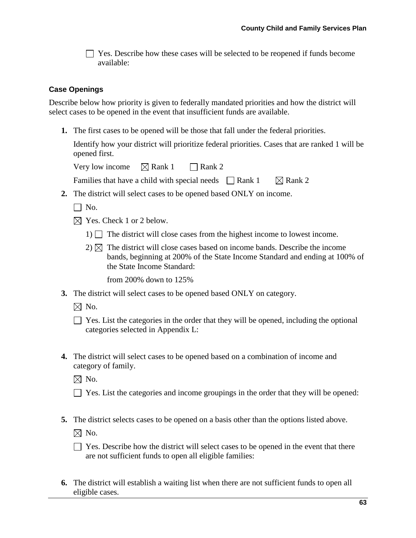$\Box$  Yes. Describe how these cases will be selected to be reopened if funds become available:

#### **Case Openings**

Describe below how priority is given to federally mandated priorities and how the district will select cases to be opened in the event that insufficient funds are available.

**1.** The first cases to be opened will be those that fall under the federal priorities.

Identify how your district will prioritize federal priorities. Cases that are ranked 1 will be opened first.

Very low income  $\boxtimes$  Rank 1  $\Box$  Rank 2

Families that have a child with special needs  $\Box$  Rank 1  $\Box$  Rank 2

**2.** The district will select cases to be opened based ONLY on income.

 $\Box$  No.

- $\boxtimes$  Yes. Check 1 or 2 below.
	- 1)  $\Box$  The district will close cases from the highest income to lowest income.
	- $2)$   $\boxtimes$  The district will close cases based on income bands. Describe the income bands, beginning at 200% of the State Income Standard and ending at 100% of the State Income Standard:

from 200% down to 125%

**3.** The district will select cases to be opened based ONLY on category.

 $\boxtimes$  No.

| ■ Yes. List the categories in the order that they will be opened, including the optional |  |
|------------------------------------------------------------------------------------------|--|
| categories selected in Appendix L:                                                       |  |

**4.** The district will select cases to be opened based on a combination of income and category of family.

 $\boxtimes$  No.

- $\Box$  Yes. List the categories and income groupings in the order that they will be opened:
- **5.** The district selects cases to be opened on a basis other than the options listed above.

 $\boxtimes$  No.

- $\Box$  Yes. Describe how the district will select cases to be opened in the event that there are not sufficient funds to open all eligible families:
- **6.** The district will establish a waiting list when there are not sufficient funds to open all eligible cases.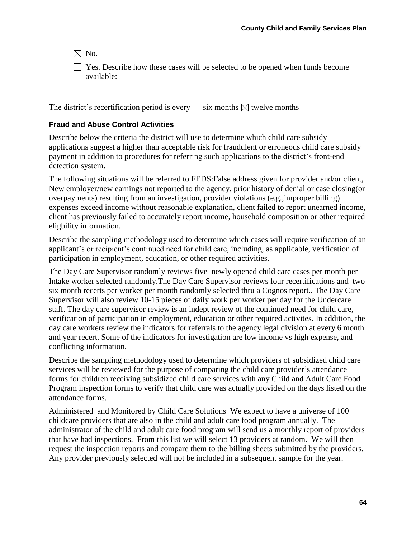$\boxtimes$  No.

Yes. Describe how these cases will be selected to be opened when funds become available:

The district's recertification period is every  $\Box$  six months  $\boxtimes$  twelve months

### **Fraud and Abuse Control Activities**

Describe below the criteria the district will use to determine which child care subsidy applications suggest a higher than acceptable risk for fraudulent or erroneous child care subsidy payment in addition to procedures for referring such applications to the district's front-end detection system.

The following situations will be referred to FEDS:False address given for provider and/or client, New employer/new earnings not reported to the agency, prior history of denial or case closing(or overpayments) resulting from an investigation, provider violations (e.g.,improper billing) expenses exceed income without reasonable explanation, client failed to report unearned income, client has previously failed to accurately report income, household composition or other required eligbility information.

Describe the sampling methodology used to determine which cases will require verification of an applicant's or recipient's continued need for child care, including, as applicable, verification of participation in employment, education, or other required activities.

The Day Care Supervisor randomly reviews five newly opened child care cases per month per Intake worker selected randomly.The Day Care Supervisor reviews four recertifications and two six month recerts per worker per month randomly selected thru a Cognos report.. The Day Care Supervisor will also review 10-15 pieces of daily work per worker per day for the Undercare staff. The day care supervisor review is an indept review of the continued need for child care, verification of participation in employment, education or other required activites. In addition, the day care workers review the indicators for referrals to the agency legal division at every 6 month and year recert. Some of the indicators for investigation are low income vs high expense, and conflicting information.

Describe the sampling methodology used to determine which providers of subsidized child care services will be reviewed for the purpose of comparing the child care provider's attendance forms for children receiving subsidized child care services with any Child and Adult Care Food Program inspection forms to verify that child care was actually provided on the days listed on the attendance forms.

Administered and Monitored by Child Care Solutions We expect to have a universe of 100 childcare providers that are also in the child and adult care food program annually. The administrator of the child and adult care food program will send us a monthly report of providers that have had inspections. From this list we will select 13 providers at random. We will then request the inspection reports and compare them to the billing sheets submitted by the providers. Any provider previously selected will not be included in a subsequent sample for the year.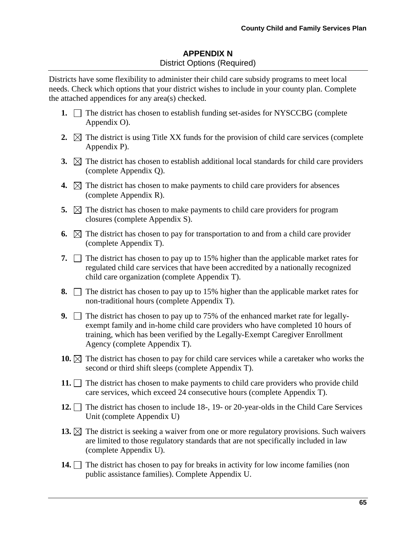# **APPENDIX N** District Options (Required)

Districts have some flexibility to administer their child care subsidy programs to meet local needs. Check which options that your district wishes to include in your county plan. Complete the attached appendices for any area(s) checked.

- **1.**  $\Box$  The district has chosen to establish funding set-asides for NYSCCBG (complete Appendix O).
- **2.**  $\boxtimes$  The district is using Title XX funds for the provision of child care services (complete Appendix P).
- **3.**  $\boxtimes$  The district has chosen to establish additional local standards for child care providers (complete Appendix Q).
- **4.**  $\boxtimes$  The district has chosen to make payments to child care providers for absences (complete Appendix R).
- **5.**  $\boxtimes$  The district has chosen to make payments to child care providers for program closures (complete Appendix S).
- **6.**  $\boxtimes$  The district has chosen to pay for transportation to and from a child care provider (complete Appendix T).
- **7.**  $\Box$  The district has chosen to pay up to 15% higher than the applicable market rates for regulated child care services that have been accredited by a nationally recognized child care organization (complete Appendix T).
- **8.**  $\Box$  The district has chosen to pay up to 15% higher than the applicable market rates for non-traditional hours (complete Appendix T).
- **9.** The district has chosen to pay up to 75% of the enhanced market rate for legallyexempt family and in-home child care providers who have completed 10 hours of training, which has been verified by the Legally-Exempt Caregiver Enrollment Agency (complete Appendix T).
- **10.**  $\boxtimes$  The district has chosen to pay for child care services while a caretaker who works the second or third shift sleeps (complete Appendix T).
- **11.**  $\Box$  The district has chosen to make payments to child care providers who provide child care services, which exceed 24 consecutive hours (complete Appendix T).
- **12.** The district has chosen to include 18-, 19- or 20-year-olds in the Child Care Services Unit (complete Appendix U)
- **13.**  $\boxtimes$  The district is seeking a waiver from one or more regulatory provisions. Such waivers are limited to those regulatory standards that are not specifically included in law (complete Appendix U).
- **14.** The district has chosen to pay for breaks in activity for low income families (non public assistance families). Complete Appendix U.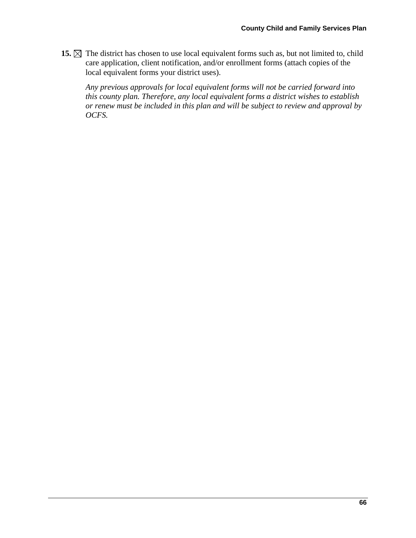15.  $\boxtimes$  The district has chosen to use local equivalent forms such as, but not limited to, child care application, client notification, and/or enrollment forms (attach copies of the local equivalent forms your district uses).

*Any previous approvals for local equivalent forms will not be carried forward into this county plan. Therefore, any local equivalent forms a district wishes to establish or renew must be included in this plan and will be subject to review and approval by OCFS.*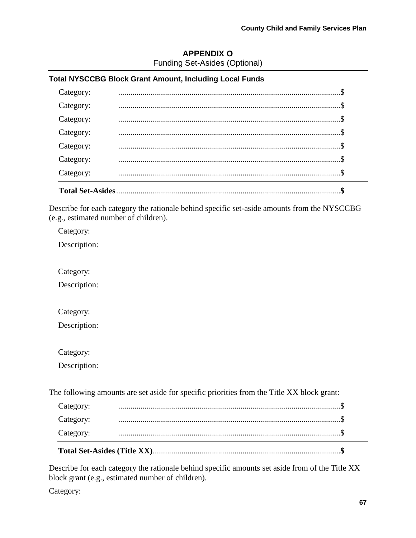## **APPENDIX O** Funding Set-Asides (Optional)

# **Total NYSCCBG Block Grant Amount, Including Local Funds**

| Category: |  |
|-----------|--|
| Category: |  |
| Category: |  |
| Category: |  |
| Category: |  |
| Category: |  |
| Category: |  |

Describe for each category the rationale behind specific set-aside amounts from the NYSCCBG (e.g., estimated number of children).

Category:

Description:

Category:

Description:

Category:

Description:

Category:

Description:

The following amounts are set aside for specific priorities from the Title XX block grant:

| Category: |  |  |
|-----------|--|--|
| Category: |  |  |
| Category: |  |  |

Describe for each category the rationale behind specific amounts set aside from of the Title XX block grant (e.g., estimated number of children).

Category: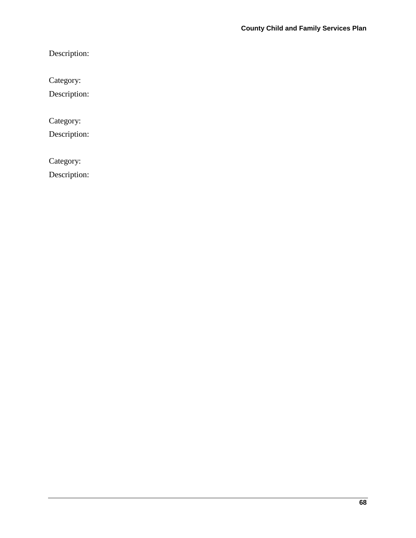Description:

Category:

Description:

Category:

Description:

Category:

Description: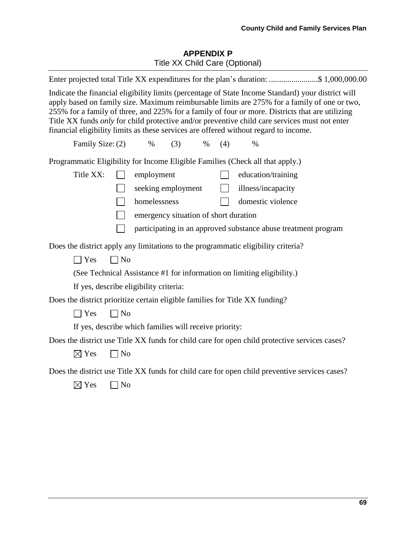## **APPENDIX P** Title XX Child Care (Optional)

|                  | Enter projected total Title XX expenditures for the plan's duration: \$ 1,000,000.00                                                                                                                                                                                                                                                                                                                                                                                                           |
|------------------|------------------------------------------------------------------------------------------------------------------------------------------------------------------------------------------------------------------------------------------------------------------------------------------------------------------------------------------------------------------------------------------------------------------------------------------------------------------------------------------------|
|                  | Indicate the financial eligibility limits (percentage of State Income Standard) your district will<br>apply based on family size. Maximum reimbursable limits are 275% for a family of one or two,<br>255% for a family of three, and 225% for a family of four or more. Districts that are utilizing<br>Title XX funds only for child protective and/or preventive child care services must not enter<br>financial eligibility limits as these services are offered without regard to income. |
| Family Size: (2) | (3)<br>(4)<br>$\%$<br>$\%$<br>$\%$                                                                                                                                                                                                                                                                                                                                                                                                                                                             |
|                  | Programmatic Eligibility for Income Eligible Families (Check all that apply.)                                                                                                                                                                                                                                                                                                                                                                                                                  |
| Title XX:        | employment<br>education/training<br>$\Box$                                                                                                                                                                                                                                                                                                                                                                                                                                                     |
|                  | illness/incapacity<br>seeking employment<br>$\mathbf{L}$                                                                                                                                                                                                                                                                                                                                                                                                                                       |
|                  | domestic violence<br>homelessness                                                                                                                                                                                                                                                                                                                                                                                                                                                              |
|                  | $\top$<br>emergency situation of short duration                                                                                                                                                                                                                                                                                                                                                                                                                                                |
|                  | participating in an approved substance abuse treatment program                                                                                                                                                                                                                                                                                                                                                                                                                                 |
|                  | Does the district apply any limitations to the programmatic eligibility criteria?                                                                                                                                                                                                                                                                                                                                                                                                              |
| $\Box$ Yes       | $\Box$ No                                                                                                                                                                                                                                                                                                                                                                                                                                                                                      |
|                  | (See Technical Assistance #1 for information on limiting eligibility.)                                                                                                                                                                                                                                                                                                                                                                                                                         |
|                  | If yes, describe eligibility criteria:                                                                                                                                                                                                                                                                                                                                                                                                                                                         |
|                  | Does the district prioritize certain eligible families for Title XX funding?                                                                                                                                                                                                                                                                                                                                                                                                                   |
| $\exists$ Yes    | $\Box$ No                                                                                                                                                                                                                                                                                                                                                                                                                                                                                      |
|                  | If yes, describe which families will receive priority:                                                                                                                                                                                                                                                                                                                                                                                                                                         |
|                  | Does the district use Title XX funds for child care for open child protective services cases?                                                                                                                                                                                                                                                                                                                                                                                                  |
| $\boxtimes$ Yes  | $\Box$ No                                                                                                                                                                                                                                                                                                                                                                                                                                                                                      |
|                  | Does the district use Title XX funds for child care for open child preventive services cases?                                                                                                                                                                                                                                                                                                                                                                                                  |
| $\boxtimes$ Yes  | $\Box$ No                                                                                                                                                                                                                                                                                                                                                                                                                                                                                      |
|                  |                                                                                                                                                                                                                                                                                                                                                                                                                                                                                                |
|                  |                                                                                                                                                                                                                                                                                                                                                                                                                                                                                                |
|                  |                                                                                                                                                                                                                                                                                                                                                                                                                                                                                                |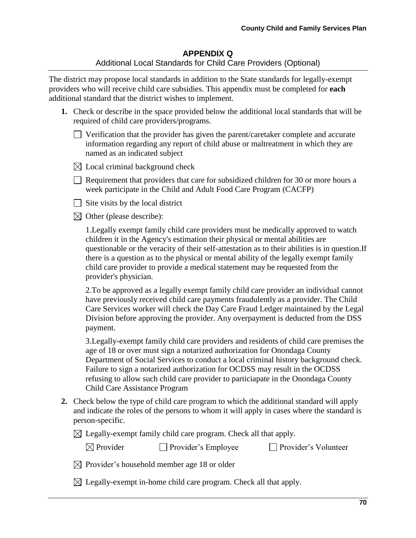# **APPENDIX Q** Additional Local Standards for Child Care Providers (Optional)

The district may propose local standards in addition to the State standards for legally-exempt providers who will receive child care subsidies. This appendix must be completed for **each** additional standard that the district wishes to implement.

- **1.** Check or describe in the space provided below the additional local standards that will be required of child care providers/programs.
	- $\Box$  Verification that the provider has given the parent/caretaker complete and accurate information regarding any report of child abuse or maltreatment in which they are named as an indicated subject
	- $\boxtimes$  Local criminal background check
	- $\Box$  Requirement that providers that care for subsidized children for 30 or more hours a week participate in the Child and Adult Food Care Program (CACFP)
	- $\Box$  Site visits by the local district
	- $\boxtimes$  Other (please describe):

1.Legally exempt family child care providers must be medically approved to watch children it in the Agency's estimation their physical or mental abilities are questionable or the veracity of their self-attestation as to their abilities is in question.If there is a question as to the physical or mental ability of the legally exempt family child care provider to provide a medical statement may be requested from the provider's physician.

 2.To be approved as a legally exempt family child care provider an individual cannot have previously received child care payments fraudulently as a provider. The Child Care Services worker will check the Day Care Fraud Ledger maintained by the Legal Division before approving the provider. Any overpayment is deducted from the DSS payment.

 3.Legally-exempt family child care providers and residents of child care premises the age of 18 or over must sign a notarized authorization for Onondaga County Department of Social Services to conduct a local criminal history background check. Failure to sign a notarized authorization for OCDSS may result in the OCDSS refusing to allow such child care provider to particiapate in the Onondaga County Child Care Assistance Program

- **2.** Check below the type of child care program to which the additional standard will apply and indicate the roles of the persons to whom it will apply in cases where the standard is person-specific.
	- $\boxtimes$  Legally-exempt family child care program. Check all that apply.

| $\boxtimes$ Provider | Provider's Employee | □ Provider's Volunteer |
|----------------------|---------------------|------------------------|
|----------------------|---------------------|------------------------|

 $\boxtimes$  Provider's household member age 18 or older

 $\boxtimes$  Legally-exempt in-home child care program. Check all that apply.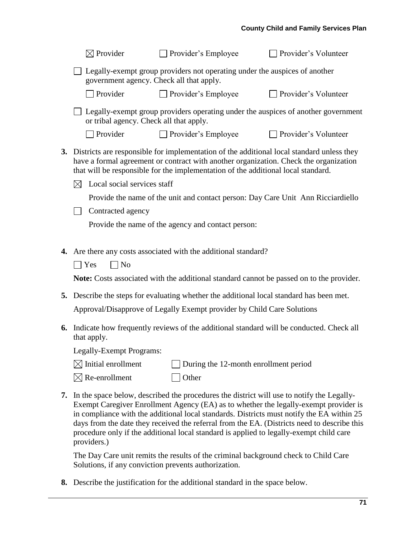|    | $\boxtimes$ Provider                       | Provider's Employee                                                                                                                                                                                                                                                     | Provider's Volunteer                                                                                                                                                                                                                                                             |
|----|--------------------------------------------|-------------------------------------------------------------------------------------------------------------------------------------------------------------------------------------------------------------------------------------------------------------------------|----------------------------------------------------------------------------------------------------------------------------------------------------------------------------------------------------------------------------------------------------------------------------------|
|    | government agency. Check all that apply.   | Legally-exempt group providers not operating under the auspices of another                                                                                                                                                                                              |                                                                                                                                                                                                                                                                                  |
|    | $\Box$ Provider                            | $\Box$ Provider's Employee                                                                                                                                                                                                                                              | □ Provider's Volunteer                                                                                                                                                                                                                                                           |
|    | or tribal agency. Check all that apply.    |                                                                                                                                                                                                                                                                         | Legally-exempt group providers operating under the auspices of another government                                                                                                                                                                                                |
|    | Provider                                   | $\Box$ Provider's Employee                                                                                                                                                                                                                                              | □ Provider's Volunteer                                                                                                                                                                                                                                                           |
| 3. | Local social services staff<br>$\boxtimes$ | Districts are responsible for implementation of the additional local standard unless they<br>have a formal agreement or contract with another organization. Check the organization<br>that will be responsible for the implementation of the additional local standard. |                                                                                                                                                                                                                                                                                  |
|    |                                            | Provide the name of the unit and contact person: Day Care Unit Ann Ricciardiello                                                                                                                                                                                        |                                                                                                                                                                                                                                                                                  |
|    | Contracted agency                          |                                                                                                                                                                                                                                                                         |                                                                                                                                                                                                                                                                                  |
|    |                                            | Provide the name of the agency and contact person:                                                                                                                                                                                                                      |                                                                                                                                                                                                                                                                                  |
|    |                                            |                                                                                                                                                                                                                                                                         |                                                                                                                                                                                                                                                                                  |
|    |                                            | 4. Are there any costs associated with the additional standard?                                                                                                                                                                                                         |                                                                                                                                                                                                                                                                                  |
|    | $\Box$ Yes<br>$\Box$ No                    |                                                                                                                                                                                                                                                                         |                                                                                                                                                                                                                                                                                  |
|    |                                            | Note: Costs associated with the additional standard cannot be passed on to the provider.                                                                                                                                                                                |                                                                                                                                                                                                                                                                                  |
| 5. |                                            | Describe the steps for evaluating whether the additional local standard has been met.                                                                                                                                                                                   |                                                                                                                                                                                                                                                                                  |
|    |                                            | Approval/Disapprove of Legally Exempt provider by Child Care Solutions                                                                                                                                                                                                  |                                                                                                                                                                                                                                                                                  |
| 6. | that apply.                                | Indicate how frequently reviews of the additional standard will be conducted. Check all                                                                                                                                                                                 |                                                                                                                                                                                                                                                                                  |
|    | Legally-Exempt Programs:                   |                                                                                                                                                                                                                                                                         |                                                                                                                                                                                                                                                                                  |
|    | $\boxtimes$ Initial enrollment             | During the 12-month enrollment period                                                                                                                                                                                                                                   |                                                                                                                                                                                                                                                                                  |
|    | $\boxtimes$ Re-enrollment                  | Other                                                                                                                                                                                                                                                                   |                                                                                                                                                                                                                                                                                  |
| 7. |                                            | In the space below, described the procedures the district will use to notify the Legally-                                                                                                                                                                               | Exempt Caregiver Enrollment Agency (EA) as to whether the legally-exempt provider is<br>in compliance with the additional local standards. Districts must notify the EA within 25<br>days from the date they received the referral from the EA. (Districts need to describe this |

procedure only if the additional local standard is applied to legally-exempt child care

The Day Care unit remits the results of the criminal background check to Child Care

Solutions, if any conviction prevents authorization.

**8.** Describe the justification for the additional standard in the space below.

providers.)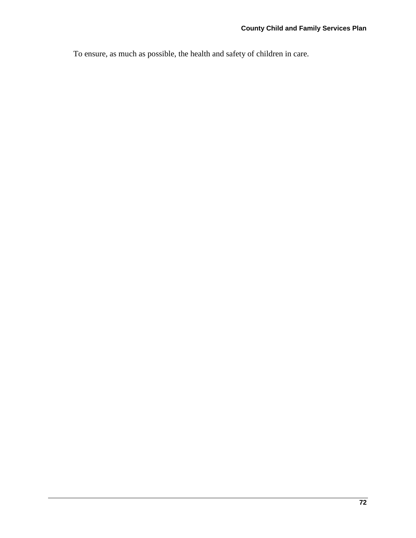To ensure, as much as possible, the health and safety of children in care.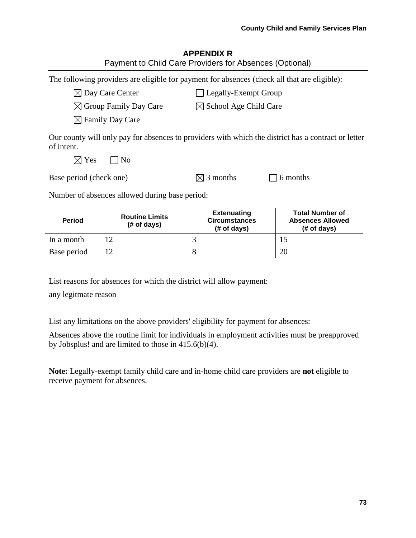#### **County Child and Family Services Plan**

| <b>APPENDIX R</b>                                       |  |
|---------------------------------------------------------|--|
| Payment to Child Care Providers for Absences (Optional) |  |

The following providers are eligible for payment for absences (check all that are eligible):

 $\boxtimes$  Day Care Center  $\Box$  Legally-Exempt Group

 $\boxtimes$  Group Family Day Care  $\boxtimes$  School Age Child Care

 $\boxtimes$  Family Day Care

Our county will only pay for absences to providers with which the district has a contract or letter of intent.

 $\boxtimes$  Yes  $\Box$  No

| Base period (check one) | $\boxtimes$ 3 months | $\Box$ 6 months |
|-------------------------|----------------------|-----------------|
|                         |                      |                 |

Number of absences allowed during base period:

| <b>Period</b> | <b>Routine Limits</b><br>$#$ of days) | <b>Extenuating</b><br><b>Circumstances</b><br>$#$ of days) | <b>Total Number of</b><br><b>Absences Allowed</b><br>$#$ of days) |
|---------------|---------------------------------------|------------------------------------------------------------|-------------------------------------------------------------------|
| In a month    |                                       |                                                            |                                                                   |
| Base period   |                                       |                                                            | 20                                                                |

List reasons for absences for which the district will allow payment:

any legitmate reason

List any limitations on the above providers' eligibility for payment for absences:

Absences above the routine limit for individuals in employment activities must be preapproved by Jobsplus! and are limited to those in 415.6(b)(4).

**Note:** Legally-exempt family child care and in-home child care providers are **not** eligible to receive payment for absences.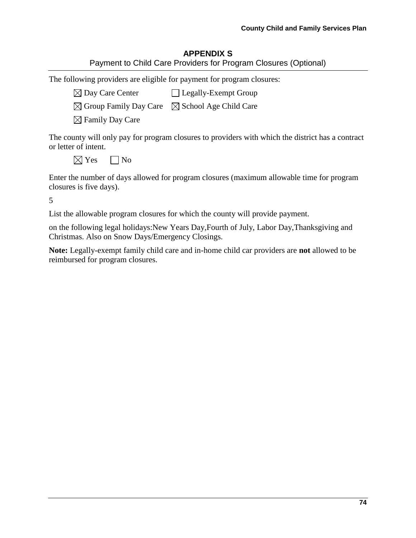# **APPENDIX S**

The following providers are eligible for payment for program closures:

 $\boxtimes$  Day Care Center  $\Box$  Legally-Exempt Group

 $\boxtimes$  Group Family Day Care  $\boxtimes$  School Age Child Care

 $\boxtimes$  Family Day Care

The county will only pay for program closures to providers with which the district has a contract or letter of intent.

 $\boxtimes$  Yes  $\Box$  No

Enter the number of days allowed for program closures (maximum allowable time for program closures is five days).

5

List the allowable program closures for which the county will provide payment.

on the following legal holidays:New Years Day,Fourth of July, Labor Day,Thanksgiving and Christmas. Also on Snow Days/Emergency Closings.

**Note:** Legally-exempt family child care and in-home child car providers are **not** allowed to be reimbursed for program closures.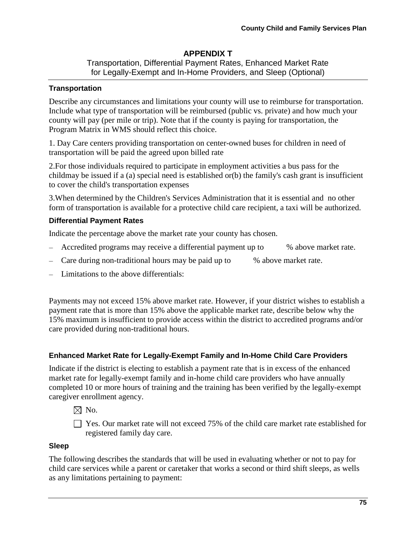# **APPENDIX T**

Transportation, Differential Payment Rates, Enhanced Market Rate for Legally-Exempt and In-Home Providers, and Sleep (Optional)

### **Transportation**

Describe any circumstances and limitations your county will use to reimburse for transportation. Include what type of transportation will be reimbursed (public vs. private) and how much your county will pay (per mile or trip). Note that if the county is paying for transportation, the Program Matrix in WMS should reflect this choice.

1. Day Care centers providing transportation on center-owned buses for children in need of transportation will be paid the agreed upon billed rate

2.For those individuals required to participate in employment activities a bus pass for the childmay be issued if a (a) special need is established or(b) the family's cash grant is insufficient to cover the child's transportation expenses

3.When determined by the Children's Services Administration that it is essential and no other form of transportation is available for a protective child care recipient, a taxi will be authorized.

# **Differential Payment Rates**

Indicate the percentage above the market rate your county has chosen.

- Accredited programs may receive a differential payment up to % above market rate.
- Care during non-traditional hours may be paid up to % above market rate.
- Limitations to the above differentials:

Payments may not exceed 15% above market rate. However, if your district wishes to establish a payment rate that is more than 15% above the applicable market rate, describe below why the 15% maximum is insufficient to provide access within the district to accredited programs and/or care provided during non-traditional hours.

# **Enhanced Market Rate for Legally-Exempt Family and In-Home Child Care Providers**

Indicate if the district is electing to establish a payment rate that is in excess of the enhanced market rate for legally-exempt family and in-home child care providers who have annually completed 10 or more hours of training and the training has been verified by the legally-exempt caregiver enrollment agency.

 $\boxtimes$  No.

 $\Box$  Yes. Our market rate will not exceed 75% of the child care market rate established for registered family day care.

### **Sleep**

The following describes the standards that will be used in evaluating whether or not to pay for child care services while a parent or caretaker that works a second or third shift sleeps, as wells as any limitations pertaining to payment: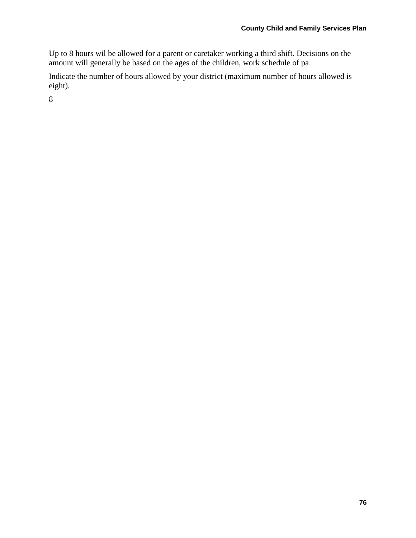Up to 8 hours wil be allowed for a parent or caretaker working a third shift. Decisions on the amount will generally be based on the ages of the children, work schedule of pa

Indicate the number of hours allowed by your district (maximum number of hours allowed is eight).

8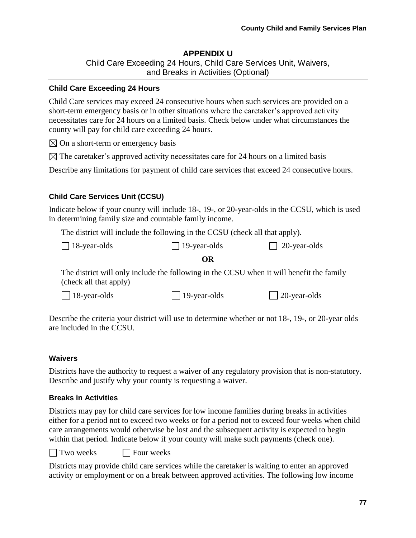### **APPENDIX U**

Child Care Exceeding 24 Hours, Child Care Services Unit, Waivers, and Breaks in Activities (Optional)

#### **Child Care Exceeding 24 Hours**

Child Care services may exceed 24 consecutive hours when such services are provided on a short-term emergency basis or in other situations where the caretaker's approved activity necessitates care for 24 hours on a limited basis. Check below under what circumstances the county will pay for child care exceeding 24 hours.

 $\boxtimes$  On a short-term or emergency basis

 $\boxtimes$  The caretaker's approved activity necessitates care for 24 hours on a limited basis

Describe any limitations for payment of child care services that exceed 24 consecutive hours.

### **Child Care Services Unit (CCSU)**

Indicate below if your county will include 18-, 19-, or 20-year-olds in the CCSU, which is used in determining family size and countable family income.

The district will include the following in the CCSU (check all that apply).

| $\Box$ 18-year-olds | $\Box$ 19-year-olds | $\Box$ 20-year-olds |
|---------------------|---------------------|---------------------|
|---------------------|---------------------|---------------------|

#### **OR**

The district will only include the following in the CCSU when it will benefit the family (check all that apply)

| $\Box$ 18-year-olds | $\Box$ 19-year-olds | $\Box$ 20-year-olds |
|---------------------|---------------------|---------------------|
|---------------------|---------------------|---------------------|

Describe the criteria your district will use to determine whether or not 18-, 19-, or 20-year olds are included in the CCSU.

### **Waivers**

Districts have the authority to request a waiver of any regulatory provision that is non-statutory. Describe and justify why your county is requesting a waiver.

### **Breaks in Activities**

Districts may pay for child care services for low income families during breaks in activities either for a period not to exceed two weeks or for a period not to exceed four weeks when child care arrangements would otherwise be lost and the subsequent activity is expected to begin within that period. Indicate below if your county will make such payments (check one).

 $\Box$  Two weeks  $\Box$  Four weeks

Districts may provide child care services while the caretaker is waiting to enter an approved activity or employment or on a break between approved activities. The following low income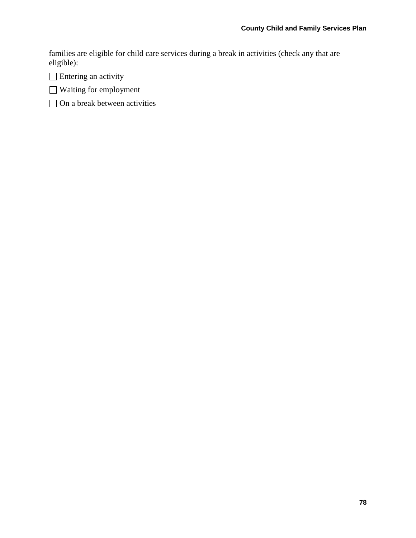families are eligible for child care services during a break in activities (check any that are eligible):

□ Entering an activity

Waiting for employment

 $\hfill\Box$ <br> <br> On a break between activities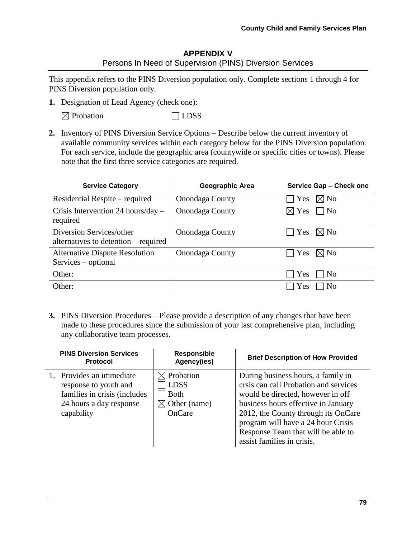### **APPENDIX V** Persons In Need of Supervision (PINS) Diversion Services

This appendix refers to the PINS Diversion population only. Complete sections 1 through 4 for PINS Diversion population only.

**1.** Designation of Lead Agency (check one):

 $\boxtimes$  Probation  $\Box$  LDSS

**2.** Inventory of PINS Diversion Service Options – Describe below the current inventory of available community services within each category below for the PINS Diversion population. For each service, include the geographic area (countywide or specific cities or towns). Please note that the first three service categories are required.

| <b>Service Category</b>                                          | Geographic Area        | Service Gap - Check one      |
|------------------------------------------------------------------|------------------------|------------------------------|
| Residential Respite – required                                   | <b>Onondaga County</b> | Yes<br>$\boxtimes$ No        |
| Crisis Intervention 24 hours/day $-$<br>required                 | <b>Onondaga County</b> | $\boxtimes$ Yes<br>$\neg$ No |
| Diversion Services/other<br>alternatives to detention – required | <b>Onondaga County</b> | Yes<br>$\boxtimes$ No        |
| <b>Alternative Dispute Resolution</b><br>Services – optional     | Onondaga County        | Yes<br>$\boxtimes$ No        |
| Other:                                                           |                        | Yes<br>N <sub>0</sub>        |
| Other:                                                           |                        | Yes<br>N <sub>o</sub>        |

**3.** PINS Diversion Procedures – Please provide a description of any changes that have been made to these procedures since the submission of your last comprehensive plan, including any collaborative team processes.

| <b>PINS Diversion Services</b><br><b>Protocol</b>                                                                          | <b>Responsible</b><br>Agency(ies)                                                         | <b>Brief Description of How Provided</b>                                                                                                                                                                                                                                                                 |
|----------------------------------------------------------------------------------------------------------------------------|-------------------------------------------------------------------------------------------|----------------------------------------------------------------------------------------------------------------------------------------------------------------------------------------------------------------------------------------------------------------------------------------------------------|
| 1. Provides an immediate<br>response to youth and<br>families in crisis (includes<br>24 hours a day response<br>capability | $\boxtimes$ Probation<br><b>LDSS</b><br><b>Both</b><br>$\boxtimes$ Other (name)<br>OnCare | During business hours, a family in<br>crsis can call Probation and services<br>would be directed, however in off<br>business hours effective in January<br>2012, the County through its OnCare<br>program will have a 24 hour Crisis<br>Response Team that will be able to<br>assist families in crisis. |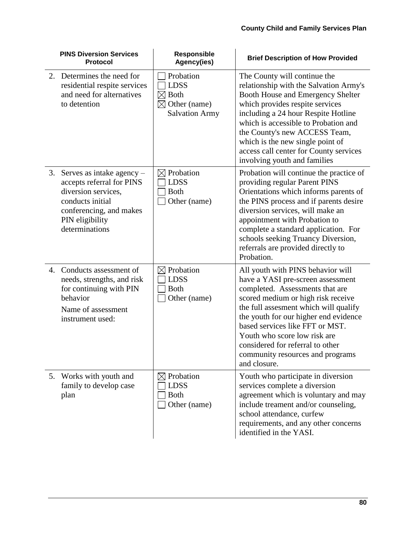|                | <b>PINS Diversion Services</b><br><b>Protocol</b>                                                                                                                   | Responsible<br>Agency(ies)                                                                                  | <b>Brief Description of How Provided</b>                                                                                                                                                                                                                                                                                                                                                     |
|----------------|---------------------------------------------------------------------------------------------------------------------------------------------------------------------|-------------------------------------------------------------------------------------------------------------|----------------------------------------------------------------------------------------------------------------------------------------------------------------------------------------------------------------------------------------------------------------------------------------------------------------------------------------------------------------------------------------------|
| 2.             | Determines the need for<br>residential respite services<br>and need for alternatives<br>to detention                                                                | Probation<br><b>LDSS</b><br><b>Both</b><br>$\boxtimes$<br>$\boxtimes$ Other (name)<br><b>Salvation Army</b> | The County will continue the<br>relationship with the Salvation Army's<br>Booth House and Emergency Shelter<br>which provides respite services<br>including a 24 hour Respite Hotline<br>which is accessible to Probation and<br>the County's new ACCESS Team,<br>which is the new single point of<br>access call center for County services<br>involving youth and families                 |
| 3.             | Serves as intake agency $-$<br>accepts referral for PINS<br>diversion services,<br>conducts initial<br>conferencing, and makes<br>PIN eligibility<br>determinations | $\boxtimes$ Probation<br><b>LDSS</b><br><b>Both</b><br>Other (name)                                         | Probation will continue the practice of<br>providing regular Parent PINS<br>Orientations which informs parents of<br>the PINS process and if parents desire<br>diversion services, will make an<br>appointment with Probation to<br>complete a standard application. For<br>schools seeking Truancy Diversion,<br>referrals are provided directly to<br>Probation.                           |
| $\mathbf{4}$ . | Conducts assessment of<br>needs, strengths, and risk<br>for continuing with PIN<br>behavior<br>Name of assessment<br>instrument used:                               | $\boxtimes$ Probation<br><b>LDSS</b><br><b>Both</b><br>Other (name)                                         | All youth with PINS behavior will<br>have a YASI pre-screen assessment<br>completed. Assessments that are<br>scored medium or high risk receive<br>the full assesment which will qualify<br>the youth for our higher end evidence<br>based services like FFT or MST.<br>Youth who score low risk are<br>considered for referral to other<br>community resources and programs<br>and closure. |
|                | 5. Works with youth and<br>family to develop case<br>plan                                                                                                           | $\boxtimes$ Probation<br><b>LDSS</b><br><b>Both</b><br>Other (name)                                         | Youth who participate in diversion<br>services complete a diversion<br>agreement which is voluntary and may<br>include treament and/or counseling,<br>school attendance, curfew<br>requirements, and any other concerns<br>identified in the YASI.                                                                                                                                           |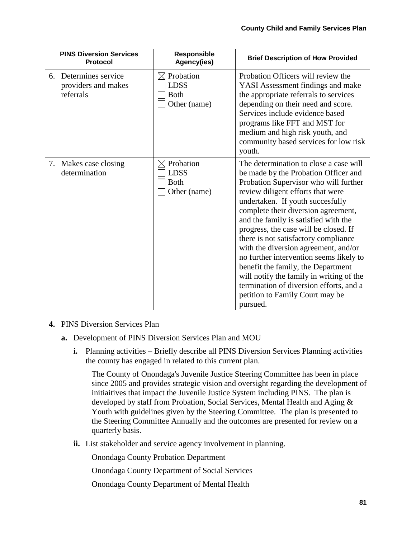| <b>PINS Diversion Services</b><br><b>Protocol</b>         | <b>Responsible</b><br>Agency(ies)                                   | <b>Brief Description of How Provided</b>                                                                                                                                                                                                                                                                                                                                                                                                                                                                                                                                                                                        |
|-----------------------------------------------------------|---------------------------------------------------------------------|---------------------------------------------------------------------------------------------------------------------------------------------------------------------------------------------------------------------------------------------------------------------------------------------------------------------------------------------------------------------------------------------------------------------------------------------------------------------------------------------------------------------------------------------------------------------------------------------------------------------------------|
| 6. Determines service<br>providers and makes<br>referrals | $\boxtimes$ Probation<br><b>LDSS</b><br><b>Both</b><br>Other (name) | Probation Officers will review the<br>YASI Assessment findings and make<br>the appropriate referrals to services<br>depending on their need and score.<br>Services include evidence based<br>programs like FFT and MST for<br>medium and high risk youth, and<br>community based services for low risk<br>youth.                                                                                                                                                                                                                                                                                                                |
| 7. Makes case closing<br>determination                    | Probation<br>⊠<br><b>LDSS</b><br><b>Both</b><br>Other (name)        | The determination to close a case will<br>be made by the Probation Officer and<br>Probation Supervisor who will further<br>review diligent efforts that were<br>undertaken. If youth succesfully<br>complete their diversion agreement,<br>and the family is satisfied with the<br>progress, the case will be closed. If<br>there is not satisfactory compliance<br>with the diversion agreement, and/or<br>no further intervention seems likely to<br>benefit the family, the Department<br>will notify the family in writing of the<br>termination of diversion efforts, and a<br>petition to Family Court may be<br>pursued. |

### **4.** PINS Diversion Services Plan

- **a.** Development of PINS Diversion Services Plan and MOU
	- **i.** Planning activities Briefly describe all PINS Diversion Services Planning activities the county has engaged in related to this current plan.

The County of Onondaga's Juvenile Justice Steering Committee has been in place since 2005 and provides strategic vision and oversight regarding the development of initiaitives that impact the Juvenile Justice System including PINS. The plan is developed by staff from Probation, Social Services, Mental Health and Aging & Youth with guidelines given by the Steering Committee. The plan is presented to the Steering Committee Annually and the outcomes are presented for review on a quarterly basis.

**ii.** List stakeholder and service agency involvement in planning.

Onondaga County Probation Department

Onondaga County Department of Social Services

Onondaga County Department of Mental Health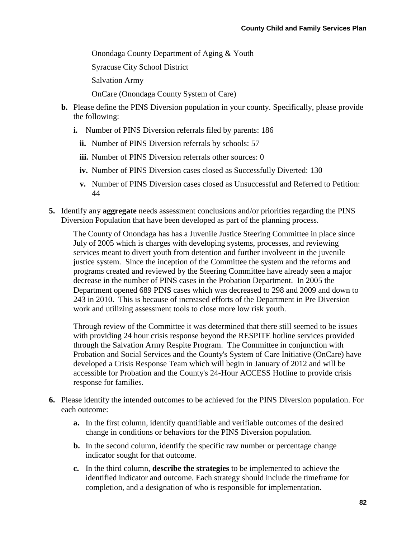Onondaga County Department of Aging & Youth

Syracuse City School District

Salvation Army

OnCare (Onondaga County System of Care)

- **b.** Please define the PINS Diversion population in your county. Specifically, please provide the following:
	- **i.** Number of PINS Diversion referrals filed by parents: 186
		- **ii.** Number of PINS Diversion referrals by schools: 57
		- **iii.** Number of PINS Diversion referrals other sources: 0
		- **iv.** Number of PINS Diversion cases closed as Successfully Diverted: 130
		- **v.** Number of PINS Diversion cases closed as Unsuccessful and Referred to Petition: 44
- **5.** Identify any **aggregate** needs assessment conclusions and/or priorities regarding the PINS Diversion Population that have been developed as part of the planning process.

The County of Onondaga has has a Juvenile Justice Steering Committee in place since July of 2005 which is charges with developing systems, processes, and reviewing services meant to divert youth from detention and further involveent in the juvenile justice system. Since the inception of the Committee the system and the reforms and programs created and reviewed by the Steering Committee have already seen a major decrease in the number of PINS cases in the Probation Department. In 2005 the Department opened 689 PINS cases which was decreased to 298 and 2009 and down to 243 in 2010. This is because of increased efforts of the Department in Pre Diversion work and utilizing assessment tools to close more low risk youth.

Through review of the Committee it was determined that there still seemed to be issues with providing 24 hour crisis response beyond the RESPITE hotline services provided through the Salvation Army Respite Program. The Committee in conjunction with Probation and Social Services and the County's System of Care Initiative (OnCare) have developed a Crisis Response Team which will begin in January of 2012 and will be accessible for Probation and the County's 24-Hour ACCESS Hotline to provide crisis response for families.

- **6.** Please identify the intended outcomes to be achieved for the PINS Diversion population. For each outcome:
	- **a.** In the first column, identify quantifiable and verifiable outcomes of the desired change in conditions or behaviors for the PINS Diversion population.
	- **b.** In the second column, identify the specific raw number or percentage change indicator sought for that outcome.
	- **c.** In the third column, **describe the strategies** to be implemented to achieve the identified indicator and outcome. Each strategy should include the timeframe for completion, and a designation of who is responsible for implementation.